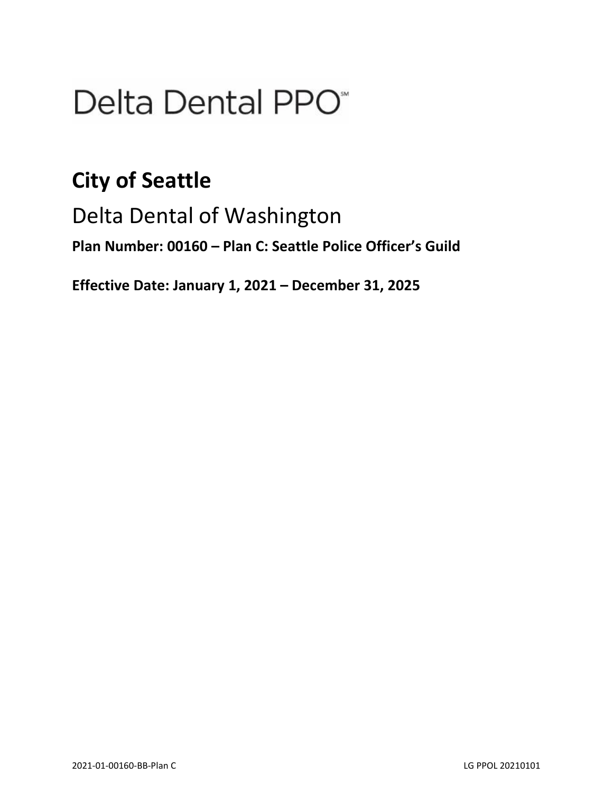# Delta Dental PPO<sup>\*</sup>

# **City of Seattle**

Delta Dental of Washington

**Plan Number: 00160 – Plan C: Seattle Police Officer's Guild**

**Effective Date: January 1, 2021 – December 31, 2025**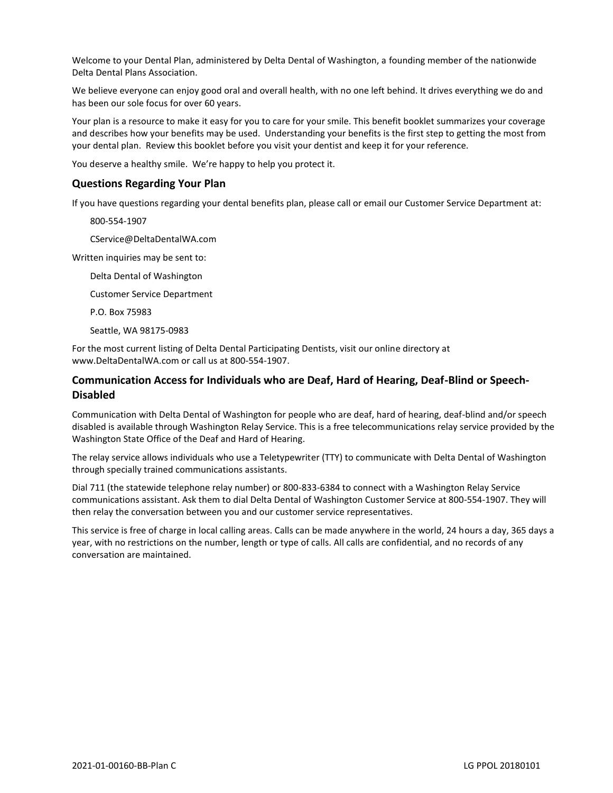Welcome to your Dental Plan, administered by Delta Dental of Washington, a founding member of the nationwide Delta Dental Plans Association.

We believe everyone can enjoy good oral and overall health, with no one left behind. It drives everything we do and has been our sole focus for over 60 years.

Your plan is a resource to make it easy for you to care for your smile. This benefit booklet summarizes your coverage and describes how your benefits may be used. Understanding your benefits is the first step to getting the most from your dental plan. Review this booklet before you visit your dentist and keep it for your reference.

You deserve a healthy smile. We're happy to help you protect it.

#### **Questions Regarding Your Plan**

If you have questions regarding your dental benefits plan, please call or email our Customer Service Department at:

800-554-1907

CService@DeltaDentalWA.com

Written inquiries may be sent to:

Delta Dental of Washington

Customer Service Department

P.O. Box 75983

Seattle, WA 98175-0983

For the most current listing of Delta Dental Participating Dentists, visit our online directory at www.DeltaDentalWA.com or call us at 800-554-1907.

# **Communication Access for Individuals who are Deaf, Hard of Hearing, Deaf-Blind or Speech-Disabled**

Communication with Delta Dental of Washington for people who are deaf, hard of hearing, deaf-blind and/or speech disabled is available through Washington Relay Service. This is a free telecommunications relay service provided by the Washington State Office of the Deaf and Hard of Hearing.

The relay service allows individuals who use a Teletypewriter (TTY) to communicate with Delta Dental of Washington through specially trained communications assistants.

Dial 711 (the statewide telephone relay number) or 800-833-6384 to connect with a Washington Relay Service communications assistant. Ask them to dial Delta Dental of Washington Customer Service at 800-554-1907. They will then relay the conversation between you and our customer service representatives.

This service is free of charge in local calling areas. Calls can be made anywhere in the world, 24 hours a day, 365 days a year, with no restrictions on the number, length or type of calls. All calls are confidential, and no records of any conversation are maintained.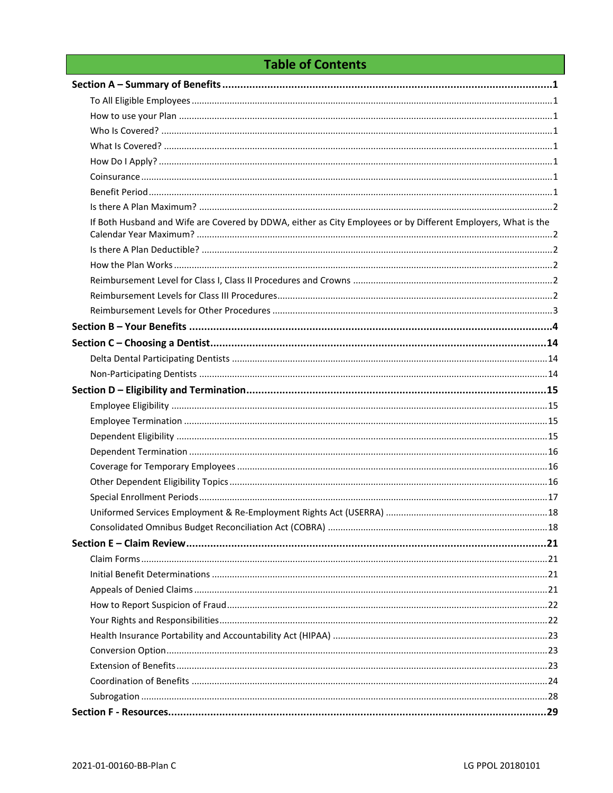# **Table of Contents**

| If Both Husband and Wife are Covered by DDWA, either as City Employees or by Different Employers, What is the |  |
|---------------------------------------------------------------------------------------------------------------|--|
|                                                                                                               |  |
|                                                                                                               |  |
|                                                                                                               |  |
|                                                                                                               |  |
|                                                                                                               |  |
|                                                                                                               |  |
|                                                                                                               |  |
|                                                                                                               |  |
|                                                                                                               |  |
|                                                                                                               |  |
|                                                                                                               |  |
|                                                                                                               |  |
|                                                                                                               |  |
|                                                                                                               |  |
|                                                                                                               |  |
|                                                                                                               |  |
|                                                                                                               |  |
|                                                                                                               |  |
|                                                                                                               |  |
|                                                                                                               |  |
|                                                                                                               |  |
|                                                                                                               |  |
|                                                                                                               |  |
|                                                                                                               |  |
|                                                                                                               |  |
|                                                                                                               |  |
|                                                                                                               |  |
|                                                                                                               |  |
|                                                                                                               |  |
|                                                                                                               |  |
|                                                                                                               |  |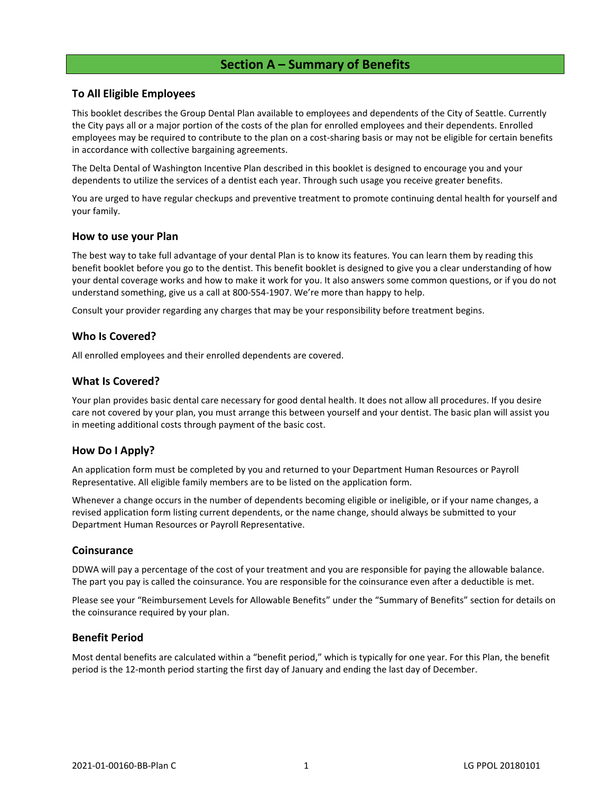# **Section A – Summary of Benefits**

# <span id="page-4-1"></span><span id="page-4-0"></span>**To All Eligible Employees**

This booklet describes the Group Dental Plan available to employees and dependents of the City of Seattle. Currently the City pays all or a major portion of the costs of the plan for enrolled employees and their dependents. Enrolled employees may be required to contribute to the plan on a cost-sharing basis or may not be eligible for certain benefits in accordance with collective bargaining agreements.

The Delta Dental of Washington Incentive Plan described in this booklet is designed to encourage you and your dependents to utilize the services of a dentist each year. Through such usage you receive greater benefits.

You are urged to have regular checkups and preventive treatment to promote continuing dental health for yourself and your family.

#### <span id="page-4-2"></span>**How to use your Plan**

The best way to take full advantage of your dental Plan is to know its features. You can learn them by reading this benefit booklet before you go to the dentist. This benefit booklet is designed to give you a clear understanding of how your dental coverage works and how to make it work for you. It also answers some common questions, or if you do not understand something, give us a call at 800-554-1907. We're more than happy to help.

Consult your provider regarding any charges that may be your responsibility before treatment begins.

# <span id="page-4-3"></span>**Who Is Covered?**

All enrolled employees and their enrolled dependents are covered.

#### <span id="page-4-4"></span>**What Is Covered?**

Your plan provides basic dental care necessary for good dental health. It does not allow all procedures. If you desire care not covered by your plan, you must arrange this between yourself and your dentist. The basic plan will assist you in meeting additional costs through payment of the basic cost.

#### <span id="page-4-5"></span>**How Do I Apply?**

An application form must be completed by you and returned to your Department Human Resources or Payroll Representative. All eligible family members are to be listed on the application form.

Whenever a change occurs in the number of dependents becoming eligible or ineligible, or if your name changes, a revised application form listing current dependents, or the name change, should always be submitted to your Department Human Resources or Payroll Representative.

#### <span id="page-4-6"></span>**Coinsurance**

DDWA will pay a percentage of the cost of your treatment and you are responsible for paying the allowable balance. The part you pay is called the coinsurance. You are responsible for the coinsurance even after a deductible is met.

Please see your "Reimbursement Levels for Allowable Benefits" under the "Summary of Benefits" section for details on the coinsurance required by your plan.

# <span id="page-4-7"></span>**Benefit Period**

Most dental benefits are calculated within a "benefit period," which is typically for one year. For this Plan, the benefit period is the 12-month period starting the first day of January and ending the last day of December.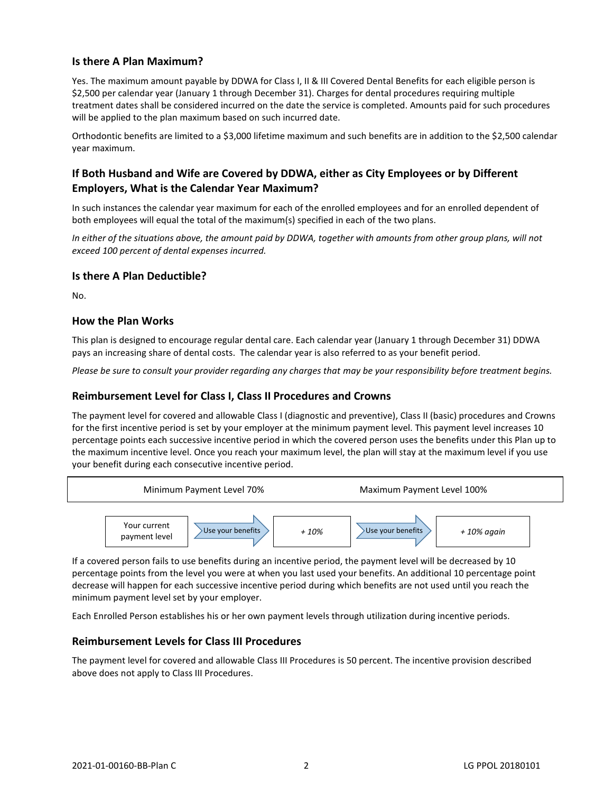# <span id="page-5-0"></span>**Is there A Plan Maximum?**

Yes. The maximum amount payable by DDWA for Class I, II & III Covered Dental Benefits for each eligible person is \$2,500 per calendar year (January 1 through December 31). Charges for dental procedures requiring multiple treatment dates shall be considered incurred on the date the service is completed. Amounts paid for such procedures will be applied to the plan maximum based on such incurred date.

Orthodontic benefits are limited to a \$3,000 lifetime maximum and such benefits are in addition to the \$2,500 calendar year maximum.

# <span id="page-5-1"></span>**If Both Husband and Wife are Covered by DDWA, either as City Employees or by Different Employers, What is the Calendar Year Maximum?**

In such instances the calendar year maximum for each of the enrolled employees and for an enrolled dependent of both employees will equal the total of the maximum(s) specified in each of the two plans.

In either of the situations above, the amount paid by DDWA, together with amounts from other group plans, will not *exceed 100 percent of dental expenses incurred.*

# <span id="page-5-2"></span>**Is there A Plan Deductible?**

No.

# <span id="page-5-3"></span>**How the Plan Works**

This plan is designed to encourage regular dental care. Each calendar year (January 1 through December 31) DDWA pays an increasing share of dental costs. The calendar year is also referred to as your benefit period.

*Please be sure to consult your provider regarding any charges that may be your responsibility before treatment begins.*

# <span id="page-5-4"></span>**Reimbursement Level for Class I, Class II Procedures and Crowns**

The payment level for covered and allowable Class I (diagnostic and preventive), Class II (basic) procedures and Crowns for the first incentive period is set by your employer at the minimum payment level. This payment level increases 10 percentage points each successive incentive period in which the covered person uses the benefits under this Plan up to the maximum incentive level. Once you reach your maximum level, the plan will stay at the maximum level if you use your benefit during each consecutive incentive period.



If a covered person fails to use benefits during an incentive period, the payment level will be decreased by 10 percentage points from the level you were at when you last used your benefits. An additional 10 percentage point decrease will happen for each successive incentive period during which benefits are not used until you reach the minimum payment level set by your employer.

Each Enrolled Person establishes his or her own payment levels through utilization during incentive periods.

# <span id="page-5-5"></span>**Reimbursement Levels for Class III Procedures**

The payment level for covered and allowable Class III Procedures is 50 percent. The incentive provision described above does not apply to Class III Procedures.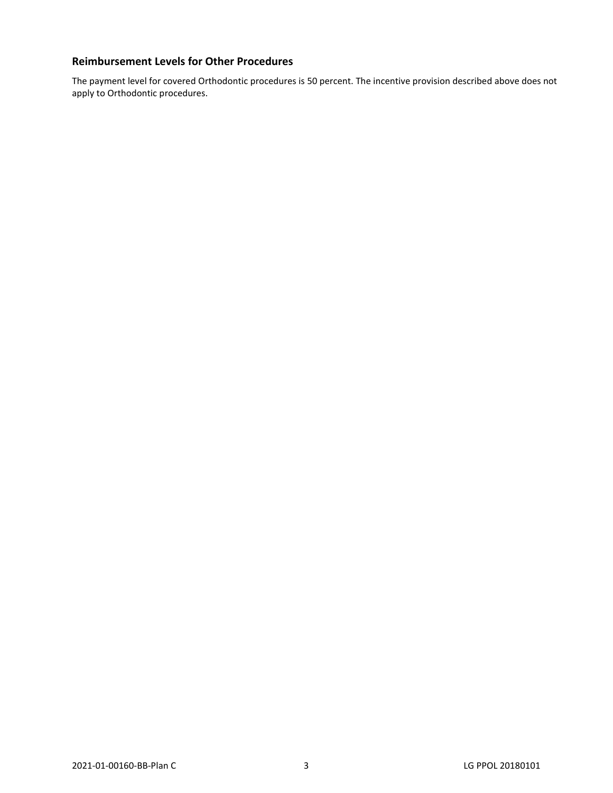# <span id="page-6-0"></span>**Reimbursement Levels for Other Procedures**

The payment level for covered Orthodontic procedures is 50 percent. The incentive provision described above does not apply to Orthodontic procedures.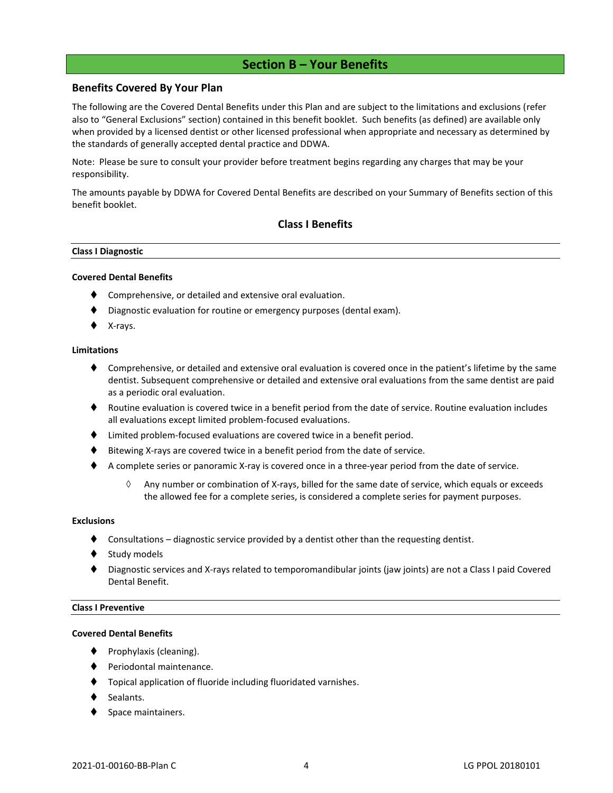# **Section B – Your Benefits**

#### <span id="page-7-0"></span>**Benefits Covered By Your Plan**

The following are the Covered Dental Benefits under this Plan and are subject to the limitations and exclusions (refer also to "General Exclusions" section) contained in this benefit booklet. Such benefits (as defined) are available only when provided by a licensed dentist or other licensed professional when appropriate and necessary as determined by the standards of generally accepted dental practice and DDWA.

Note: Please be sure to consult your provider before treatment begins regarding any charges that may be your responsibility.

The amounts payable by DDWA for Covered Dental Benefits are described on your Summary of Benefits section of this benefit booklet.

# **Class I Benefits**

#### **Class I Diagnostic**

#### **Covered Dental Benefits**

- Comprehensive, or detailed and extensive oral evaluation.
- Diagnostic evaluation for routine or emergency purposes (dental exam).
- X-rays.

#### **Limitations**

- ♦ Comprehensive, or detailed and extensive oral evaluation is covered once in the patient's lifetime by the same dentist. Subsequent comprehensive or detailed and extensive oral evaluations from the same dentist are paid as a periodic oral evaluation.
- ♦ Routine evaluation is covered twice in a benefit period from the date of service. Routine evaluation includes all evaluations except limited problem-focused evaluations.
- ⧫ Limited problem-focused evaluations are covered twice in a benefit period.
- ⧫ Bitewing X-rays are covered twice in a benefit period from the date of service.
- ◆ A complete series or panoramic X-ray is covered once in a three-year period from the date of service.
	- $\Diamond$  Any number or combination of X-rays, billed for the same date of service, which equals or exceeds the allowed fee for a complete series, is considered a complete series for payment purposes.

#### **Exclusions**

- Consultations diagnostic service provided by a dentist other than the requesting dentist.
- Study models
- ⧫ Diagnostic services and X-rays related to temporomandibular joints (jaw joints) are not a Class I paid Covered Dental Benefit.

#### **Class I Preventive**

#### **Covered Dental Benefits**

- Prophylaxis (cleaning).
- Periodontal maintenance.
- ⧫ Topical application of fluoride including fluoridated varnishes.
- Sealants.
- Space maintainers.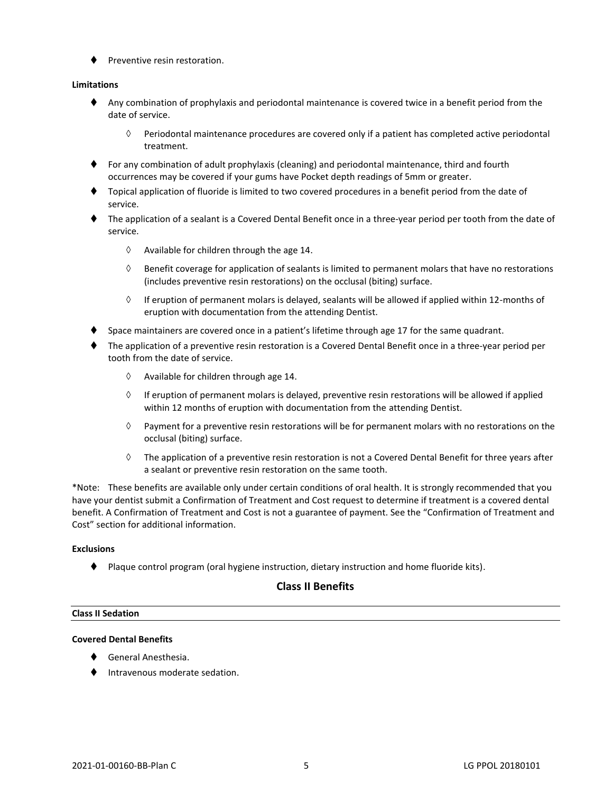⧫ Preventive resin restoration.

#### **Limitations**

- ⧫ Any combination of prophylaxis and periodontal maintenance is covered twice in a benefit period from the date of service.
	- $\Diamond$  Periodontal maintenance procedures are covered only if a patient has completed active periodontal treatment.
- ♦ For any combination of adult prophylaxis (cleaning) and periodontal maintenance, third and fourth occurrences may be covered if your gums have Pocket depth readings of 5mm or greater.
- ⧫ Topical application of fluoride is limited to two covered procedures in a benefit period from the date of service.
- The application of a sealant is a Covered Dental Benefit once in a three-year period per tooth from the date of service.
	- $\Diamond$  Available for children through the age 14.
	- $\Diamond$  Benefit coverage for application of sealants is limited to permanent molars that have no restorations (includes preventive resin restorations) on the occlusal (biting) surface.
	- $\Diamond$  If eruption of permanent molars is delayed, sealants will be allowed if applied within 12-months of eruption with documentation from the attending Dentist.
- Space maintainers are covered once in a patient's lifetime through age 17 for the same quadrant.
- ⧫ The application of a preventive resin restoration is a Covered Dental Benefit once in a three-year period per tooth from the date of service.
	- $\Diamond$  Available for children through age 14.
	- $\Diamond$  If eruption of permanent molars is delayed, preventive resin restorations will be allowed if applied within 12 months of eruption with documentation from the attending Dentist.
	- $\Diamond$  Payment for a preventive resin restorations will be for permanent molars with no restorations on the occlusal (biting) surface.
	- $\Diamond$  The application of a preventive resin restoration is not a Covered Dental Benefit for three years after a sealant or preventive resin restoration on the same tooth.

\*Note: These benefits are available only under certain conditions of oral health. It is strongly recommended that you have your dentist submit a Confirmation of Treatment and Cost request to determine if treatment is a covered dental benefit. A Confirmation of Treatment and Cost is not a guarantee of payment. See the "Confirmation of Treatment and Cost" section for additional information.

#### **Exclusions**

⧫ Plaque control program (oral hygiene instruction, dietary instruction and home fluoride kits).

# **Class II Benefits**

#### **Class II Sedation**

#### **Covered Dental Benefits**

- ⧫ General Anesthesia.
- ⧫ Intravenous moderate sedation.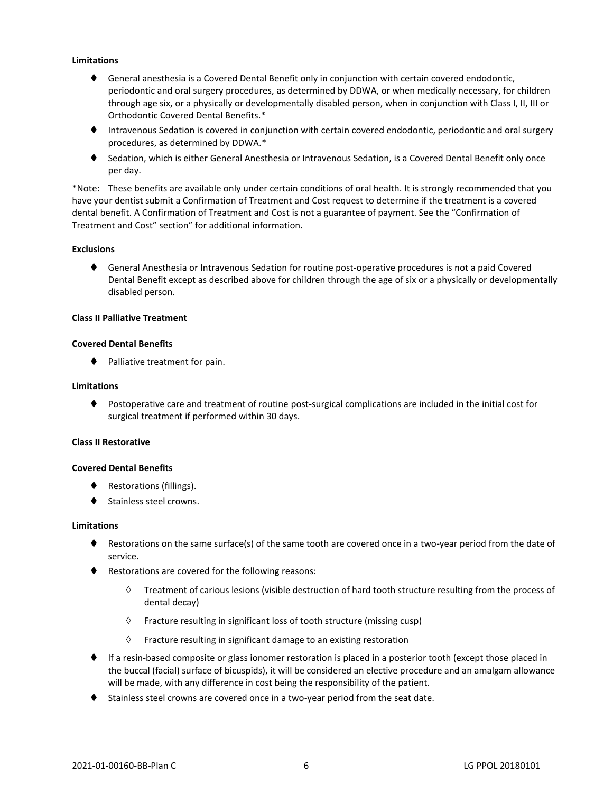#### **Limitations**

- ⧫ General anesthesia is a Covered Dental Benefit only in conjunction with certain covered endodontic, periodontic and oral surgery procedures, as determined by DDWA, or when medically necessary, for children through age six, or a physically or developmentally disabled person, when in conjunction with Class I, II, III or Orthodontic Covered Dental Benefits.\*
- ⧫ Intravenous Sedation is covered in conjunction with certain covered endodontic, periodontic and oral surgery procedures, as determined by DDWA.\*
- ◆ Sedation, which is either General Anesthesia or Intravenous Sedation, is a Covered Dental Benefit only once per day.

\*Note: These benefits are available only under certain conditions of oral health. It is strongly recommended that you have your dentist submit a Confirmation of Treatment and Cost request to determine if the treatment is a covered dental benefit. A Confirmation of Treatment and Cost is not a guarantee of payment. See the "Confirmation of Treatment and Cost" section" for additional information.

#### **Exclusions**

◆ General Anesthesia or Intravenous Sedation for routine post-operative procedures is not a paid Covered Dental Benefit except as described above for children through the age of six or a physically or developmentally disabled person.

#### **Class II Palliative Treatment**

#### **Covered Dental Benefits**

◆ Palliative treatment for pain.

#### **Limitations**

⧫ Postoperative care and treatment of routine post-surgical complications are included in the initial cost for surgical treatment if performed within 30 days.

#### **Class II Restorative**

#### **Covered Dental Benefits**

- Restorations (fillings).
- Stainless steel crowns.

#### **Limitations**

- ♦ Restorations on the same surface(s) of the same tooth are covered once in a two-year period from the date of service.
- ♦ Restorations are covered for the following reasons:
	- $\Diamond$  Treatment of carious lesions (visible destruction of hard tooth structure resulting from the process of dental decay)
	- $\Diamond$  Fracture resulting in significant loss of tooth structure (missing cusp)
	- $\Diamond$  Fracture resulting in significant damage to an existing restoration
- ♦ If a resin-based composite or glass ionomer restoration is placed in a posterior tooth (except those placed in the buccal (facial) surface of bicuspids), it will be considered an elective procedure and an amalgam allowance will be made, with any difference in cost being the responsibility of the patient.
- ◆ Stainless steel crowns are covered once in a two-year period from the seat date.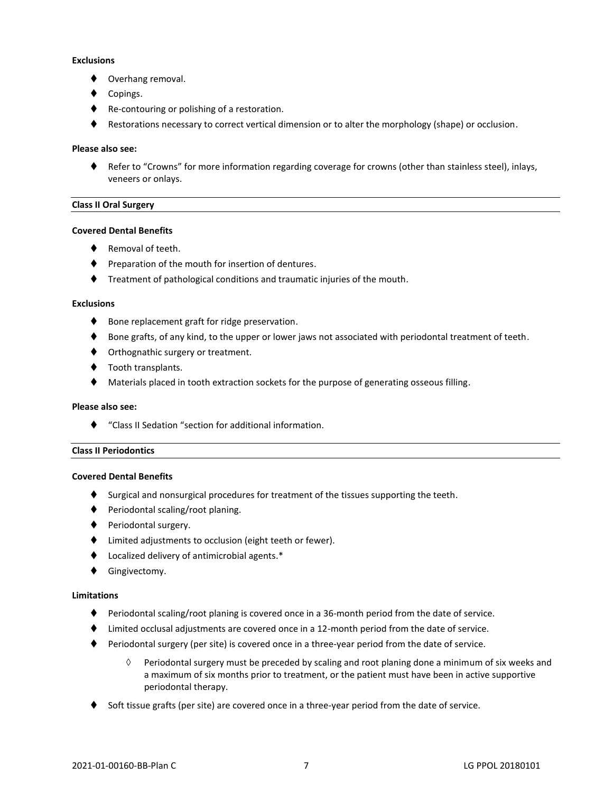#### **Exclusions**

- Overhang removal.
- Copings.
- ◆ Re-contouring or polishing of a restoration.
- Restorations necessary to correct vertical dimension or to alter the morphology (shape) or occlusion.

#### **Please also see:**

⧫ Refer to "Crowns" for more information regarding coverage for crowns (other than stainless steel), inlays, veneers or onlays.

#### **Class II Oral Surgery**

#### **Covered Dental Benefits**

- Removal of teeth.
- Preparation of the mouth for insertion of dentures.
- ⧫ Treatment of pathological conditions and traumatic injuries of the mouth.

#### **Exclusions**

- ♦ Bone replacement graft for ridge preservation.
- ♦ Bone grafts, of any kind, to the upper or lower jaws not associated with periodontal treatment of teeth.
- ♦ Orthognathic surgery or treatment.
- ◆ Tooth transplants.
- ⧫ Materials placed in tooth extraction sockets for the purpose of generating osseous filling.

#### **Please also see:**

⧫ "Class II Sedation "section for additional information.

#### **Class II Periodontics**

#### **Covered Dental Benefits**

- ⧫ Surgical and nonsurgical procedures for treatment of the tissues supporting the teeth.
- ◆ Periodontal scaling/root planing.
- ◆ Periodontal surgery.
- ⧫ Limited adjustments to occlusion (eight teeth or fewer).
- ⧫ Localized delivery of antimicrobial agents.\*
- ⧫ Gingivectomy.

#### **Limitations**

- ♦ Periodontal scaling/root planing is covered once in a 36-month period from the date of service.
- ♦ Limited occlusal adjustments are covered once in a 12-month period from the date of service.
- ◆ Periodontal surgery (per site) is covered once in a three-year period from the date of service.
	- $\Diamond$  Periodontal surgery must be preceded by scaling and root planing done a minimum of six weeks and a maximum of six months prior to treatment, or the patient must have been in active supportive periodontal therapy.
- Soft tissue grafts (per site) are covered once in a three-year period from the date of service.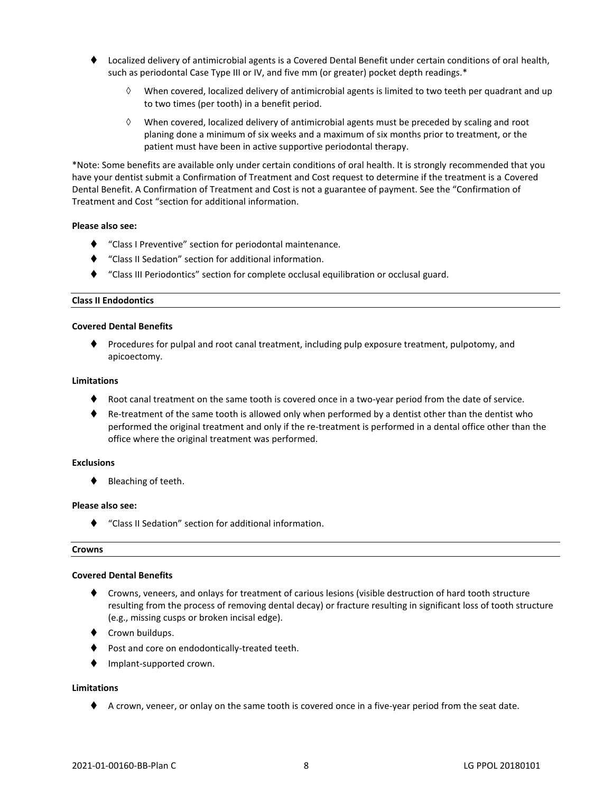- ⧫ Localized delivery of antimicrobial agents is a Covered Dental Benefit under certain conditions of oral health, such as periodontal Case Type III or IV, and five mm (or greater) pocket depth readings.\*
	- $\Diamond$  When covered, localized delivery of antimicrobial agents is limited to two teeth per quadrant and up to two times (per tooth) in a benefit period.
	- $\Diamond$  When covered, localized delivery of antimicrobial agents must be preceded by scaling and root planing done a minimum of six weeks and a maximum of six months prior to treatment, or the patient must have been in active supportive periodontal therapy.

\*Note: Some benefits are available only under certain conditions of oral health. It is strongly recommended that you have your dentist submit a Confirmation of Treatment and Cost request to determine if the treatment is a Covered Dental Benefit. A Confirmation of Treatment and Cost is not a guarantee of payment. See the "Confirmation of Treatment and Cost "section for additional information.

#### **Please also see:**

- ⧫ "Class I Preventive" section for periodontal maintenance.
- ⧫ "Class II Sedation" section for additional information.
- ⧫ "Class III Periodontics" section for complete occlusal equilibration or occlusal guard.

#### **Class II Endodontics**

#### **Covered Dental Benefits**

◆ Procedures for pulpal and root canal treatment, including pulp exposure treatment, pulpotomy, and apicoectomy.

#### **Limitations**

- Root canal treatment on the same tooth is covered once in a two-year period from the date of service.
- ♦ Re-treatment of the same tooth is allowed only when performed by a dentist other than the dentist who performed the original treatment and only if the re-treatment is performed in a dental office other than the office where the original treatment was performed.

#### **Exclusions**

◆ Bleaching of teeth.

#### **Please also see:**

⧫ "Class II Sedation" section for additional information.

#### **Crowns**

#### **Covered Dental Benefits**

- ⧫ Crowns, veneers, and onlays for treatment of carious lesions (visible destruction of hard tooth structure resulting from the process of removing dental decay) or fracture resulting in significant loss of tooth structure (e.g., missing cusps or broken incisal edge).
- ♦ Crown buildups.
- ◆ Post and core on endodontically-treated teeth.
- ⧫ Implant-supported crown.

#### **Limitations**

◆ A crown, veneer, or onlay on the same tooth is covered once in a five-year period from the seat date.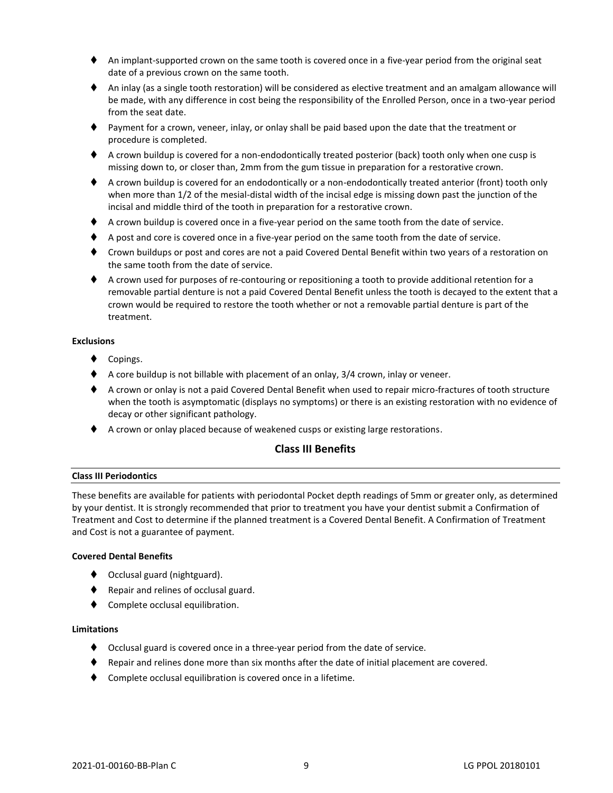- An implant-supported crown on the same tooth is covered once in a five-year period from the original seat date of a previous crown on the same tooth.
- ♦ An inlay (as a single tooth restoration) will be considered as elective treatment and an amalgam allowance will be made, with any difference in cost being the responsibility of the Enrolled Person, once in a two-year period from the seat date.
- ⧫ Payment for a crown, veneer, inlay, or onlay shall be paid based upon the date that the treatment or procedure is completed.
- ♦ A crown buildup is covered for a non-endodontically treated posterior (back) tooth only when one cusp is missing down to, or closer than, 2mm from the gum tissue in preparation for a restorative crown.
- ♦ A crown buildup is covered for an endodontically or a non-endodontically treated anterior (front) tooth only when more than 1/2 of the mesial-distal width of the incisal edge is missing down past the junction of the incisal and middle third of the tooth in preparation for a restorative crown.
- ⧫ A crown buildup is covered once in a five-year period on the same tooth from the date of service.
- ♦ A post and core is covered once in a five-year period on the same tooth from the date of service.
- ⧫ Crown buildups or post and cores are not a paid Covered Dental Benefit within two years of a restoration on the same tooth from the date of service.
- ♦ A crown used for purposes of re-contouring or repositioning a tooth to provide additional retention for a removable partial denture is not a paid Covered Dental Benefit unless the tooth is decayed to the extent that a crown would be required to restore the tooth whether or not a removable partial denture is part of the treatment.

#### **Exclusions**

- ◆ Copings.
- ◆ A core buildup is not billable with placement of an onlay, 3/4 crown, inlay or veneer.
- ♦ A crown or onlay is not a paid Covered Dental Benefit when used to repair micro-fractures of tooth structure when the tooth is asymptomatic (displays no symptoms) or there is an existing restoration with no evidence of decay or other significant pathology.
- ◆ A crown or onlay placed because of weakened cusps or existing large restorations.

# **Class III Benefits**

#### **Class III Periodontics**

These benefits are available for patients with periodontal Pocket depth readings of 5mm or greater only, as determined by your dentist. It is strongly recommended that prior to treatment you have your dentist submit a Confirmation of Treatment and Cost to determine if the planned treatment is a Covered Dental Benefit. A Confirmation of Treatment and Cost is not a guarantee of payment.

#### **Covered Dental Benefits**

- ◆ Occlusal guard (nightguard).
- ◆ Repair and relines of occlusal guard.
- ⧫ Complete occlusal equilibration.

#### **Limitations**

- ⧫ Occlusal guard is covered once in a three-year period from the date of service.
- ⧫ Repair and relines done more than six months after the date of initial placement are covered.
- ◆ Complete occlusal equilibration is covered once in a lifetime.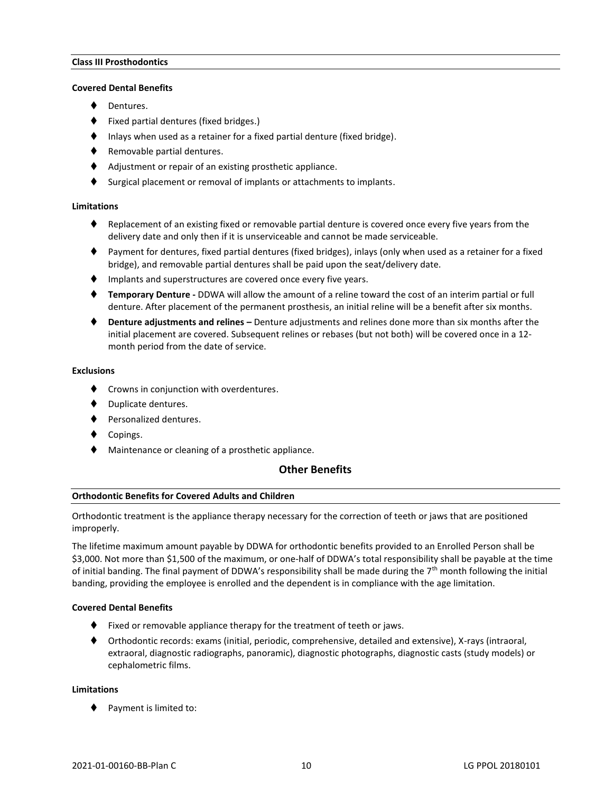#### **Class III Prosthodontics**

#### **Covered Dental Benefits**

- Dentures.
- ⧫ Fixed partial dentures (fixed bridges.)
- Inlays when used as a retainer for a fixed partial denture (fixed bridge).
- ⧫ Removable partial dentures.
- ◆ Adjustment or repair of an existing prosthetic appliance.
- ⧫ Surgical placement or removal of implants or attachments to implants.

#### **Limitations**

- ♦ Replacement of an existing fixed or removable partial denture is covered once every five years from the delivery date and only then if it is unserviceable and cannot be made serviceable.
- ⧫ Payment for dentures, fixed partial dentures (fixed bridges), inlays (only when used as a retainer for a fixed bridge), and removable partial dentures shall be paid upon the seat/delivery date.
- ⧫ Implants and superstructures are covered once every five years.
- ⧫ **Temporary Denture -** DDWA will allow the amount of a reline toward the cost of an interim partial or full denture. After placement of the permanent prosthesis, an initial reline will be a benefit after six months.
- ⧫ **Denture adjustments and relines –** Denture adjustments and relines done more than six months after the initial placement are covered. Subsequent relines or rebases (but not both) will be covered once in a 12 month period from the date of service.

#### **Exclusions**

- ◆ Crowns in conjunction with overdentures.
- Duplicate dentures.
- ⧫ Personalized dentures.
- ◆ Copings.
- Maintenance or cleaning of a prosthetic appliance.

# **Other Benefits**

#### **Orthodontic Benefits for Covered Adults and Children**

Orthodontic treatment is the appliance therapy necessary for the correction of teeth or jaws that are positioned improperly.

The lifetime maximum amount payable by DDWA for orthodontic benefits provided to an Enrolled Person shall be \$3,000. Not more than \$1,500 of the maximum, or one-half of DDWA's total responsibility shall be payable at the time of initial banding. The final payment of DDWA's responsibility shall be made during the  $7<sup>th</sup>$  month following the initial banding, providing the employee is enrolled and the dependent is in compliance with the age limitation.

#### **Covered Dental Benefits**

- Fixed or removable appliance therapy for the treatment of teeth or jaws.
- ⧫ Orthodontic records: exams (initial, periodic, comprehensive, detailed and extensive), X-rays (intraoral, extraoral, diagnostic radiographs, panoramic), diagnostic photographs, diagnostic casts (study models) or cephalometric films.

#### **Limitations**

◆ Payment is limited to: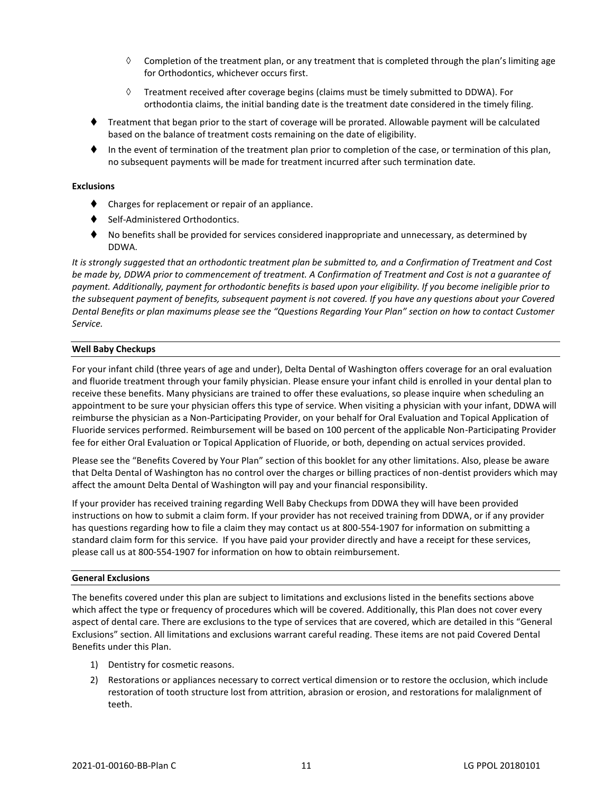- $\Diamond$  Completion of the treatment plan, or any treatment that is completed through the plan's limiting age for Orthodontics, whichever occurs first.
- $\Diamond$  Treatment received after coverage begins (claims must be timely submitted to DDWA). For orthodontia claims, the initial banding date is the treatment date considered in the timely filing.
- ⧫ Treatment that began prior to the start of coverage will be prorated. Allowable payment will be calculated based on the balance of treatment costs remaining on the date of eligibility.
- ⧫ In the event of termination of the treatment plan prior to completion of the case, or termination of this plan, no subsequent payments will be made for treatment incurred after such termination date.

#### **Exclusions**

- ◆ Charges for replacement or repair of an appliance.
- ⧫ Self-Administered Orthodontics.
- ⧫ No benefits shall be provided for services considered inappropriate and unnecessary, as determined by DDWA.

*It is strongly suggested that an orthodontic treatment plan be submitted to, and a Confirmation of Treatment and Cost be made by, DDWA prior to commencement of treatment. A Confirmation of Treatment and Cost is not a guarantee of payment. Additionally, payment for orthodontic benefits is based upon your eligibility. If you become ineligible prior to the subsequent payment of benefits, subsequent payment is not covered. If you have any questions about your Covered Dental Benefits or plan maximums please see the "Questions Regarding Your Plan" section on how to contact Customer Service.*

#### **Well Baby Checkups**

For your infant child (three years of age and under), Delta Dental of Washington offers coverage for an oral evaluation and fluoride treatment through your family physician. Please ensure your infant child is enrolled in your dental plan to receive these benefits. Many physicians are trained to offer these evaluations, so please inquire when scheduling an appointment to be sure your physician offers this type of service. When visiting a physician with your infant, DDWA will reimburse the physician as a Non-Participating Provider, on your behalf for Oral Evaluation and Topical Application of Fluoride services performed. Reimbursement will be based on 100 percent of the applicable Non-Participating Provider fee for either Oral Evaluation or Topical Application of Fluoride, or both, depending on actual services provided.

Please see the "Benefits Covered by Your Plan" section of this booklet for any other limitations. Also, please be aware that Delta Dental of Washington has no control over the charges or billing practices of non-dentist providers which may affect the amount Delta Dental of Washington will pay and your financial responsibility.

If your provider has received training regarding Well Baby Checkups from DDWA they will have been provided instructions on how to submit a claim form. If your provider has not received training from DDWA, or if any provider has questions regarding how to file a claim they may contact us at 800-554-1907 for information on submitting a standard claim form for this service. If you have paid your provider directly and have a receipt for these services, please call us at 800-554-1907 for information on how to obtain reimbursement.

#### **General Exclusions**

The benefits covered under this plan are subject to limitations and exclusions listed in the benefits sections above which affect the type or frequency of procedures which will be covered. Additionally, this Plan does not cover every aspect of dental care. There are exclusions to the type of services that are covered, which are detailed in this "General Exclusions" section. All limitations and exclusions warrant careful reading. These items are not paid Covered Dental Benefits under this Plan.

- 1) Dentistry for cosmetic reasons.
- 2) Restorations or appliances necessary to correct vertical dimension or to restore the occlusion, which include restoration of tooth structure lost from attrition, abrasion or erosion, and restorations for malalignment of teeth.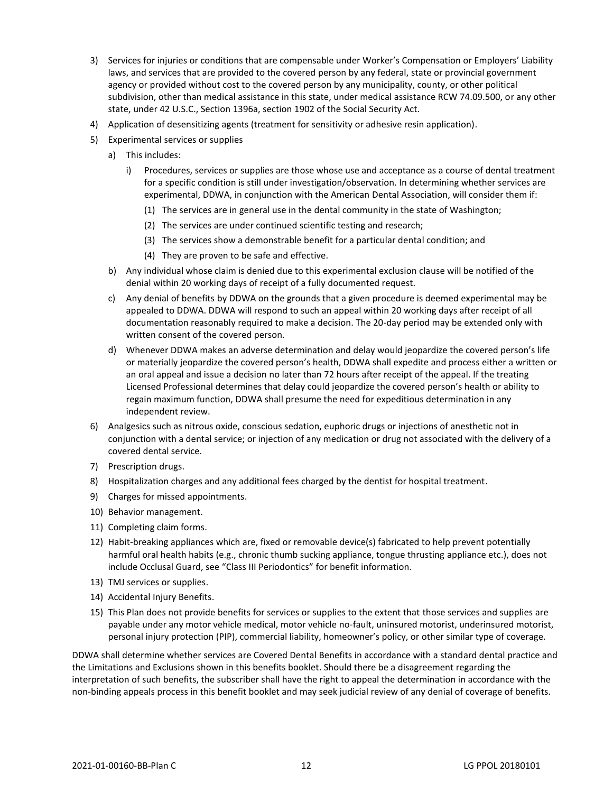- 3) Services for injuries or conditions that are compensable under Worker's Compensation or Employers' Liability laws, and services that are provided to the covered person by any federal, state or provincial government agency or provided without cost to the covered person by any municipality, county, or other political subdivision, other than medical assistance in this state, under medical assistance RCW 74.09.500, or any other state, under 42 U.S.C., Section 1396a, section 1902 of the Social Security Act.
- 4) Application of desensitizing agents (treatment for sensitivity or adhesive resin application).
- 5) Experimental services or supplies
	- a) This includes:
		- i) Procedures, services or supplies are those whose use and acceptance as a course of dental treatment for a specific condition is still under investigation/observation. In determining whether services are experimental, DDWA, in conjunction with the American Dental Association, will consider them if:
			- (1) The services are in general use in the dental community in the state of Washington;
			- (2) The services are under continued scientific testing and research;
			- (3) The services show a demonstrable benefit for a particular dental condition; and
			- (4) They are proven to be safe and effective.
	- b) Any individual whose claim is denied due to this experimental exclusion clause will be notified of the denial within 20 working days of receipt of a fully documented request.
	- c) Any denial of benefits by DDWA on the grounds that a given procedure is deemed experimental may be appealed to DDWA. DDWA will respond to such an appeal within 20 working days after receipt of all documentation reasonably required to make a decision. The 20-day period may be extended only with written consent of the covered person.
	- d) Whenever DDWA makes an adverse determination and delay would jeopardize the covered person's life or materially jeopardize the covered person's health, DDWA shall expedite and process either a written or an oral appeal and issue a decision no later than 72 hours after receipt of the appeal. If the treating Licensed Professional determines that delay could jeopardize the covered person's health or ability to regain maximum function, DDWA shall presume the need for expeditious determination in any independent review.
- 6) Analgesics such as nitrous oxide, conscious sedation, euphoric drugs or injections of anesthetic not in conjunction with a dental service; or injection of any medication or drug not associated with the delivery of a covered dental service.
- 7) Prescription drugs.
- 8) Hospitalization charges and any additional fees charged by the dentist for hospital treatment.
- 9) Charges for missed appointments.
- 10) Behavior management.
- 11) Completing claim forms.
- 12) Habit-breaking appliances which are, fixed or removable device(s) fabricated to help prevent potentially harmful oral health habits (e.g., chronic thumb sucking appliance, tongue thrusting appliance etc.), does not include Occlusal Guard, see "Class III Periodontics" for benefit information.
- 13) TMJ services or supplies.
- 14) Accidental Injury Benefits.
- 15) This Plan does not provide benefits for services or supplies to the extent that those services and supplies are payable under any motor vehicle medical, motor vehicle no-fault, uninsured motorist, underinsured motorist, personal injury protection (PIP), commercial liability, homeowner's policy, or other similar type of coverage.

DDWA shall determine whether services are Covered Dental Benefits in accordance with a standard dental practice and the Limitations and Exclusions shown in this benefits booklet. Should there be a disagreement regarding the interpretation of such benefits, the subscriber shall have the right to appeal the determination in accordance with the non-binding appeals process in this benefit booklet and may seek judicial review of any denial of coverage of benefits.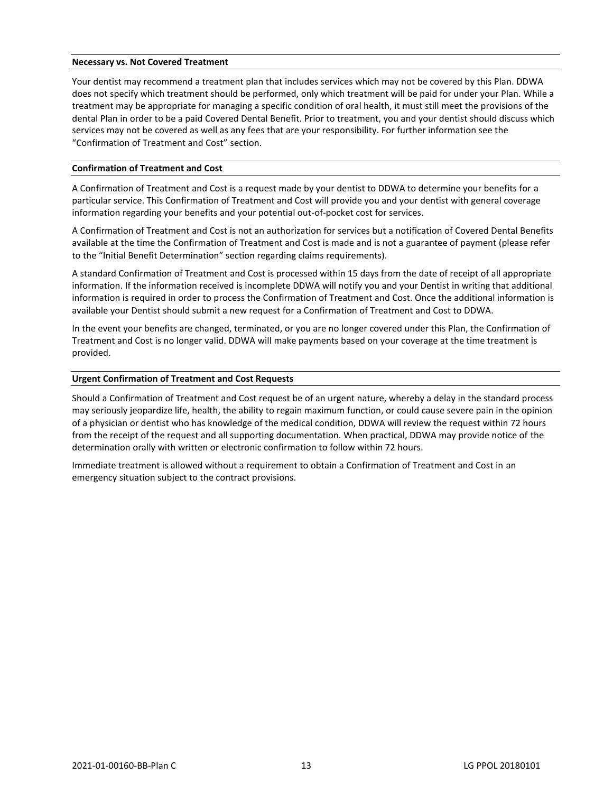#### **Necessary vs. Not Covered Treatment**

Your dentist may recommend a treatment plan that includes services which may not be covered by this Plan. DDWA does not specify which treatment should be performed, only which treatment will be paid for under your Plan. While a treatment may be appropriate for managing a specific condition of oral health, it must still meet the provisions of the dental Plan in order to be a paid Covered Dental Benefit. Prior to treatment, you and your dentist should discuss which services may not be covered as well as any fees that are your responsibility. For further information see the "Confirmation of Treatment and Cost" section.

#### **Confirmation of Treatment and Cost**

A Confirmation of Treatment and Cost is a request made by your dentist to DDWA to determine your benefits for a particular service. This Confirmation of Treatment and Cost will provide you and your dentist with general coverage information regarding your benefits and your potential out-of-pocket cost for services.

A Confirmation of Treatment and Cost is not an authorization for services but a notification of Covered Dental Benefits available at the time the Confirmation of Treatment and Cost is made and is not a guarantee of payment (please refer to the "Initial Benefit Determination" section regarding claims requirements).

A standard Confirmation of Treatment and Cost is processed within 15 days from the date of receipt of all appropriate information. If the information received is incomplete DDWA will notify you and your Dentist in writing that additional information is required in order to process the Confirmation of Treatment and Cost. Once the additional information is available your Dentist should submit a new request for a Confirmation of Treatment and Cost to DDWA.

In the event your benefits are changed, terminated, or you are no longer covered under this Plan, the Confirmation of Treatment and Cost is no longer valid. DDWA will make payments based on your coverage at the time treatment is provided.

#### **Urgent Confirmation of Treatment and Cost Requests**

Should a Confirmation of Treatment and Cost request be of an urgent nature, whereby a delay in the standard process may seriously jeopardize life, health, the ability to regain maximum function, or could cause severe pain in the opinion of a physician or dentist who has knowledge of the medical condition, DDWA will review the request within 72 hours from the receipt of the request and all supporting documentation. When practical, DDWA may provide notice of the determination orally with written or electronic confirmation to follow within 72 hours.

Immediate treatment is allowed without a requirement to obtain a Confirmation of Treatment and Cost in an emergency situation subject to the contract provisions.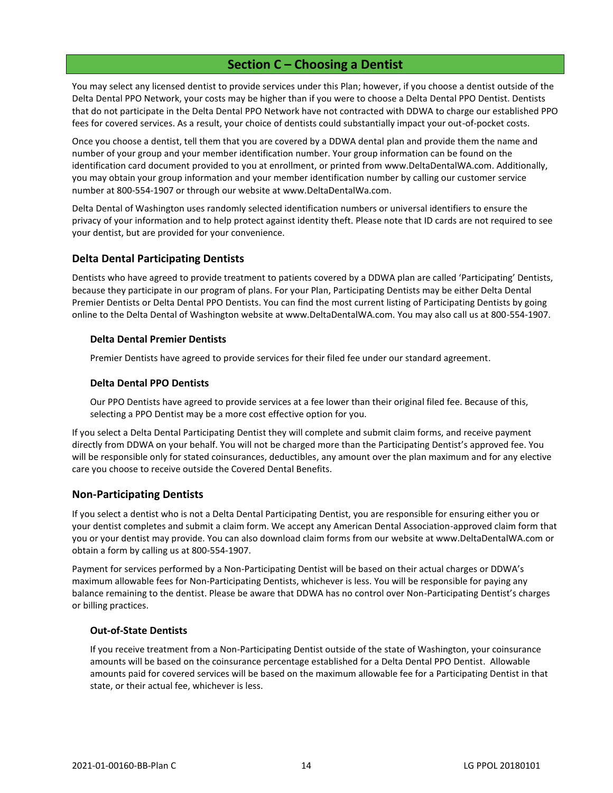# **Section C – Choosing a Dentist**

<span id="page-17-0"></span>You may select any licensed dentist to provide services under this Plan; however, if you choose a dentist outside of the Delta Dental PPO Network, your costs may be higher than if you were to choose a Delta Dental PPO Dentist. Dentists that do not participate in the Delta Dental PPO Network have not contracted with DDWA to charge our established PPO fees for covered services. As a result, your choice of dentists could substantially impact your out-of-pocket costs.

Once you choose a dentist, tell them that you are covered by a DDWA dental plan and provide them the name and number of your group and your member identification number. Your group information can be found on the identification card document provided to you at enrollment, or printed from www.DeltaDentalWA.com. Additionally, you may obtain your group information and your member identification number by calling our customer service number at 800-554-1907 or through our website at www.DeltaDentalWa.com.

Delta Dental of Washington uses randomly selected identification numbers or universal identifiers to ensure the privacy of your information and to help protect against identity theft. Please note that ID cards are not required to see your dentist, but are provided for your convenience.

# <span id="page-17-1"></span>**Delta Dental Participating Dentists**

Dentists who have agreed to provide treatment to patients covered by a DDWA plan are called 'Participating' Dentists, because they participate in our program of plans. For your Plan, Participating Dentists may be either Delta Dental Premier Dentists or Delta Dental PPO Dentists. You can find the most current listing of Participating Dentists by going online to the Delta Dental of Washington website at www.DeltaDentalWA.com. You may also call us at 800-554-1907.

# **Delta Dental Premier Dentists**

Premier Dentists have agreed to provide services for their filed fee under our standard agreement.

# **Delta Dental PPO Dentists**

Our PPO Dentists have agreed to provide services at a fee lower than their original filed fee. Because of this, selecting a PPO Dentist may be a more cost effective option for you.

If you select a Delta Dental Participating Dentist they will complete and submit claim forms, and receive payment directly from DDWA on your behalf. You will not be charged more than the Participating Dentist's approved fee. You will be responsible only for stated coinsurances, deductibles, any amount over the plan maximum and for any elective care you choose to receive outside the Covered Dental Benefits.

# <span id="page-17-2"></span>**Non-Participating Dentists**

If you select a dentist who is not a Delta Dental Participating Dentist, you are responsible for ensuring either you or your dentist completes and submit a claim form. We accept any American Dental Association-approved claim form that you or your dentist may provide. You can also download claim forms from our website at www.DeltaDentalWA.com or obtain a form by calling us at 800-554-1907.

Payment for services performed by a Non-Participating Dentist will be based on their actual charges or DDWA's maximum allowable fees for Non-Participating Dentists, whichever is less. You will be responsible for paying any balance remaining to the dentist. Please be aware that DDWA has no control over Non-Participating Dentist's charges or billing practices.

#### **Out-of-State Dentists**

If you receive treatment from a Non-Participating Dentist outside of the state of Washington, your coinsurance amounts will be based on the coinsurance percentage established for a Delta Dental PPO Dentist. Allowable amounts paid for covered services will be based on the maximum allowable fee for a Participating Dentist in that state, or their actual fee, whichever is less.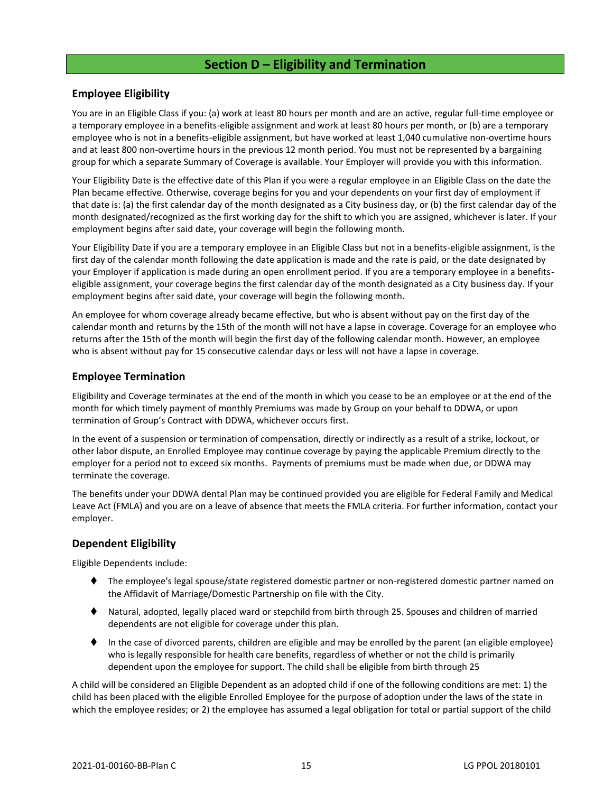# **Section D – Eligibility and Termination**

# <span id="page-18-1"></span><span id="page-18-0"></span>**Employee Eligibility**

You are in an Eligible Class if you: (a) work at least 80 hours per month and are an active, regular full-time employee or a temporary employee in a benefits-eligible assignment and work at least 80 hours per month, or (b) are a temporary employee who is not in a benefits-eligible assignment, but have worked at least 1,040 cumulative non-overtime hours and at least 800 non-overtime hours in the previous 12 month period. You must not be represented by a bargaining group for which a separate Summary of Coverage is available. Your Employer will provide you with this information.

Your Eligibility Date is the effective date of this Plan if you were a regular employee in an Eligible Class on the date the Plan became effective. Otherwise, coverage begins for you and your dependents on your first day of employment if that date is: (a) the first calendar day of the month designated as a City business day, or (b) the first calendar day of the month designated/recognized as the first working day for the shift to which you are assigned, whichever is later. If your employment begins after said date, your coverage will begin the following month.

Your Eligibility Date if you are a temporary employee in an Eligible Class but not in a benefits-eligible assignment, is the first day of the calendar month following the date application is made and the rate is paid, or the date designated by your Employer if application is made during an open enrollment period. If you are a temporary employee in a benefitseligible assignment, your coverage begins the first calendar day of the month designated as a City business day. If your employment begins after said date, your coverage will begin the following month.

An employee for whom coverage already became effective, but who is absent without pay on the first day of the calendar month and returns by the 15th of the month will not have a lapse in coverage. Coverage for an employee who returns after the 15th of the month will begin the first day of the following calendar month. However, an employee who is absent without pay for 15 consecutive calendar days or less will not have a lapse in coverage.

# <span id="page-18-2"></span>**Employee Termination**

Eligibility and Coverage terminates at the end of the month in which you cease to be an employee or at the end of the month for which timely payment of monthly Premiums was made by Group on your behalf to DDWA, or upon termination of Group's Contract with DDWA, whichever occurs first.

In the event of a suspension or termination of compensation, directly or indirectly as a result of a strike, lockout, or other labor dispute, an Enrolled Employee may continue coverage by paying the applicable Premium directly to the employer for a period not to exceed six months. Payments of premiums must be made when due, or DDWA may terminate the coverage.

The benefits under your DDWA dental Plan may be continued provided you are eligible for Federal Family and Medical Leave Act (FMLA) and you are on a leave of absence that meets the FMLA criteria. For further information, contact your employer.

# <span id="page-18-3"></span>**Dependent Eligibility**

Eligible Dependents include:

- ⧫ The employee's legal spouse/state registered domestic partner or non-registered domestic partner named on the Affidavit of Marriage/Domestic Partnership on file with the City.
- ⧫ Natural, adopted, legally placed ward or stepchild from birth through 25. Spouses and children of married dependents are not eligible for coverage under this plan.
- ⧫ In the case of divorced parents, children are eligible and may be enrolled by the parent (an eligible employee) who is legally responsible for health care benefits, regardless of whether or not the child is primarily dependent upon the employee for support. The child shall be eligible from birth through 25

A child will be considered an Eligible Dependent as an adopted child if one of the following conditions are met: 1) the child has been placed with the eligible Enrolled Employee for the purpose of adoption under the laws of the state in which the employee resides; or 2) the employee has assumed a legal obligation for total or partial support of the child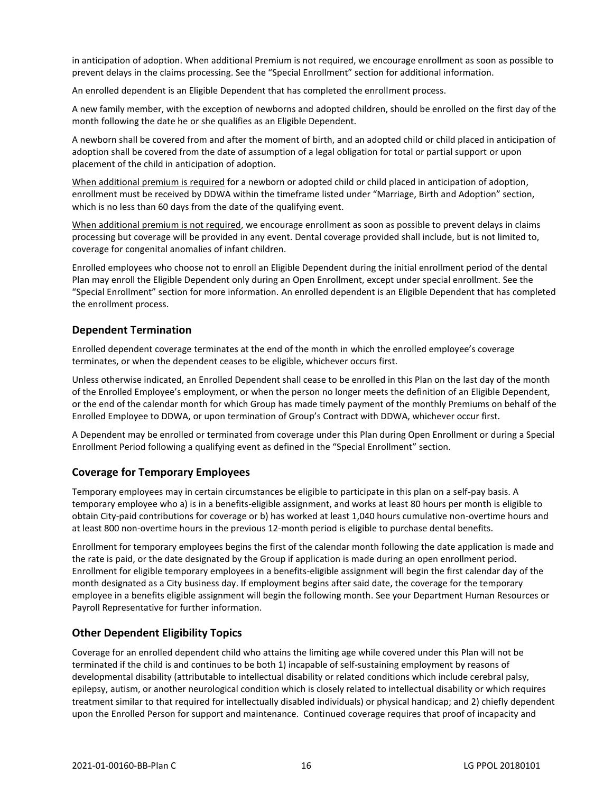in anticipation of adoption. When additional Premium is not required, we encourage enrollment as soon as possible to prevent delays in the claims processing. See the "Special Enrollment" section for additional information.

An enrolled dependent is an Eligible Dependent that has completed the enrollment process.

A new family member, with the exception of newborns and adopted children, should be enrolled on the first day of the month following the date he or she qualifies as an Eligible Dependent.

A newborn shall be covered from and after the moment of birth, and an adopted child or child placed in anticipation of adoption shall be covered from the date of assumption of a legal obligation for total or partial support or upon placement of the child in anticipation of adoption.

When additional premium is required for a newborn or adopted child or child placed in anticipation of adoption, enrollment must be received by DDWA within the timeframe listed under "Marriage, Birth and Adoption" section, which is no less than 60 days from the date of the qualifying event.

When additional premium is not required, we encourage enrollment as soon as possible to prevent delays in claims processing but coverage will be provided in any event. Dental coverage provided shall include, but is not limited to, coverage for congenital anomalies of infant children.

Enrolled employees who choose not to enroll an Eligible Dependent during the initial enrollment period of the dental Plan may enroll the Eligible Dependent only during an Open Enrollment, except under special enrollment. See the "Special Enrollment" section for more information. An enrolled dependent is an Eligible Dependent that has completed the enrollment process.

# <span id="page-19-0"></span>**Dependent Termination**

Enrolled dependent coverage terminates at the end of the month in which the enrolled employee's coverage terminates, or when the dependent ceases to be eligible, whichever occurs first.

Unless otherwise indicated, an Enrolled Dependent shall cease to be enrolled in this Plan on the last day of the month of the Enrolled Employee's employment, or when the person no longer meets the definition of an Eligible Dependent, or the end of the calendar month for which Group has made timely payment of the monthly Premiums on behalf of the Enrolled Employee to DDWA, or upon termination of Group's Contract with DDWA, whichever occur first.

A Dependent may be enrolled or terminated from coverage under this Plan during Open Enrollment or during a Special Enrollment Period following a qualifying event as defined in the "Special Enrollment" section.

# <span id="page-19-1"></span>**Coverage for Temporary Employees**

Temporary employees may in certain circumstances be eligible to participate in this plan on a self-pay basis. A temporary employee who a) is in a benefits-eligible assignment, and works at least 80 hours per month is eligible to obtain City-paid contributions for coverage or b) has worked at least 1,040 hours cumulative non-overtime hours and at least 800 non-overtime hours in the previous 12-month period is eligible to purchase dental benefits.

Enrollment for temporary employees begins the first of the calendar month following the date application is made and the rate is paid, or the date designated by the Group if application is made during an open enrollment period. Enrollment for eligible temporary employees in a benefits-eligible assignment will begin the first calendar day of the month designated as a City business day. If employment begins after said date, the coverage for the temporary employee in a benefits eligible assignment will begin the following month. See your Department Human Resources or Payroll Representative for further information.

# <span id="page-19-2"></span>**Other Dependent Eligibility Topics**

Coverage for an enrolled dependent child who attains the limiting age while covered under this Plan will not be terminated if the child is and continues to be both 1) incapable of self-sustaining employment by reasons of developmental disability (attributable to intellectual disability or related conditions which include cerebral palsy, epilepsy, autism, or another neurological condition which is closely related to intellectual disability or which requires treatment similar to that required for intellectually disabled individuals) or physical handicap; and 2) chiefly dependent upon the Enrolled Person for support and maintenance. Continued coverage requires that proof of incapacity and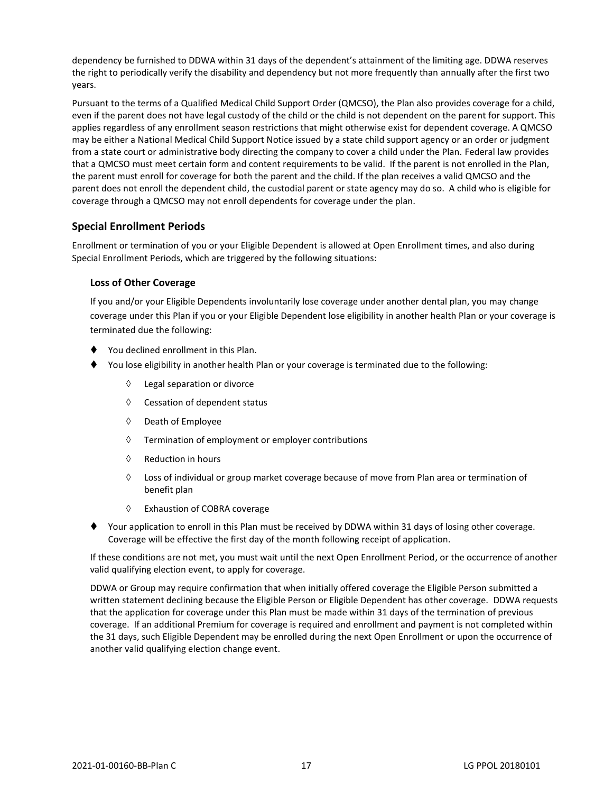dependency be furnished to DDWA within 31 days of the dependent's attainment of the limiting age. DDWA reserves the right to periodically verify the disability and dependency but not more frequently than annually after the first two years.

Pursuant to the terms of a Qualified Medical Child Support Order (QMCSO), the Plan also provides coverage for a child, even if the parent does not have legal custody of the child or the child is not dependent on the parent for support. This applies regardless of any enrollment season restrictions that might otherwise exist for dependent coverage. A QMCSO may be either a National Medical Child Support Notice issued by a state child support agency or an order or judgment from a state court or administrative body directing the company to cover a child under the Plan. Federal law provides that a QMCSO must meet certain form and content requirements to be valid. If the parent is not enrolled in the Plan, the parent must enroll for coverage for both the parent and the child. If the plan receives a valid QMCSO and the parent does not enroll the dependent child, the custodial parent or state agency may do so. A child who is eligible for coverage through a QMCSO may not enroll dependents for coverage under the plan.

# <span id="page-20-0"></span>**Special Enrollment Periods**

Enrollment or termination of you or your Eligible Dependent is allowed at Open Enrollment times, and also during Special Enrollment Periods, which are triggered by the following situations:

# **Loss of Other Coverage**

If you and/or your Eligible Dependents involuntarily lose coverage under another dental plan, you may change coverage under this Plan if you or your Eligible Dependent lose eligibility in another health Plan or your coverage is terminated due the following:

- ⧫ You declined enrollment in this Plan.
- You lose eligibility in another health Plan or your coverage is terminated due to the following:
	- Legal separation or divorce
	- $\Diamond$  Cessation of dependent status
	- $\Diamond$  Death of Employee
	- $\Diamond$  Termination of employment or employer contributions
	- $\Diamond$  Reduction in hours
	- $\Diamond$  Loss of individual or group market coverage because of move from Plan area or termination of benefit plan
	- Exhaustion of COBRA coverage
- Your application to enroll in this Plan must be received by DDWA within 31 days of losing other coverage. Coverage will be effective the first day of the month following receipt of application.

If these conditions are not met, you must wait until the next Open Enrollment Period, or the occurrence of another valid qualifying election event, to apply for coverage.

DDWA or Group may require confirmation that when initially offered coverage the Eligible Person submitted a written statement declining because the Eligible Person or Eligible Dependent has other coverage. DDWA requests that the application for coverage under this Plan must be made within 31 days of the termination of previous coverage. If an additional Premium for coverage is required and enrollment and payment is not completed within the 31 days, such Eligible Dependent may be enrolled during the next Open Enrollment or upon the occurrence of another valid qualifying election change event.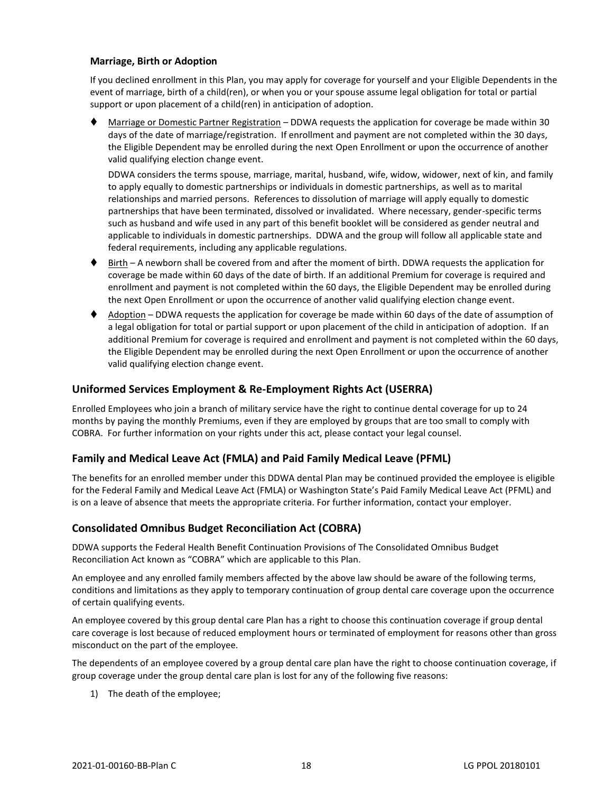# **Marriage, Birth or Adoption**

If you declined enrollment in this Plan, you may apply for coverage for yourself and your Eligible Dependents in the event of marriage, birth of a child(ren), or when you or your spouse assume legal obligation for total or partial support or upon placement of a child(ren) in anticipation of adoption.

Marriage or Domestic Partner Registration – DDWA requests the application for coverage be made within 30 days of the date of marriage/registration. If enrollment and payment are not completed within the 30 days, the Eligible Dependent may be enrolled during the next Open Enrollment or upon the occurrence of another valid qualifying election change event.

DDWA considers the terms spouse, marriage, marital, husband, wife, widow, widower, next of kin, and family to apply equally to domestic partnerships or individuals in domestic partnerships, as well as to marital relationships and married persons. References to dissolution of marriage will apply equally to domestic partnerships that have been terminated, dissolved or invalidated. Where necessary, gender-specific terms such as husband and wife used in any part of this benefit booklet will be considered as gender neutral and applicable to individuals in domestic partnerships. DDWA and the group will follow all applicable state and federal requirements, including any applicable regulations.

- ♦ Birth A newborn shall be covered from and after the moment of birth. DDWA requests the application for coverage be made within 60 days of the date of birth. If an additional Premium for coverage is required and enrollment and payment is not completed within the 60 days, the Eligible Dependent may be enrolled during the next Open Enrollment or upon the occurrence of another valid qualifying election change event.
- ⧫ Adoption DDWA requests the application for coverage be made within 60 days of the date of assumption of a legal obligation for total or partial support or upon placement of the child in anticipation of adoption. If an additional Premium for coverage is required and enrollment and payment is not completed within the 60 days, the Eligible Dependent may be enrolled during the next Open Enrollment or upon the occurrence of another valid qualifying election change event.

# <span id="page-21-0"></span>**Uniformed Services Employment & Re-Employment Rights Act (USERRA)**

Enrolled Employees who join a branch of military service have the right to continue dental coverage for up to 24 months by paying the monthly Premiums, even if they are employed by groups that are too small to comply with COBRA. For further information on your rights under this act, please contact your legal counsel.

# **Family and Medical Leave Act (FMLA) and Paid Family Medical Leave (PFML)**

The benefits for an enrolled member under this DDWA dental Plan may be continued provided the employee is eligible for the Federal Family and Medical Leave Act (FMLA) or Washington State's Paid Family Medical Leave Act (PFML) and is on a leave of absence that meets the appropriate criteria. For further information, contact your employer.

#### <span id="page-21-1"></span>**Consolidated Omnibus Budget Reconciliation Act (COBRA)**

DDWA supports the Federal Health Benefit Continuation Provisions of The Consolidated Omnibus Budget Reconciliation Act known as "COBRA" which are applicable to this Plan.

An employee and any enrolled family members affected by the above law should be aware of the following terms, conditions and limitations as they apply to temporary continuation of group dental care coverage upon the occurrence of certain qualifying events.

An employee covered by this group dental care Plan has a right to choose this continuation coverage if group dental care coverage is lost because of reduced employment hours or terminated of employment for reasons other than gross misconduct on the part of the employee.

The dependents of an employee covered by a group dental care plan have the right to choose continuation coverage, if group coverage under the group dental care plan is lost for any of the following five reasons:

1) The death of the employee;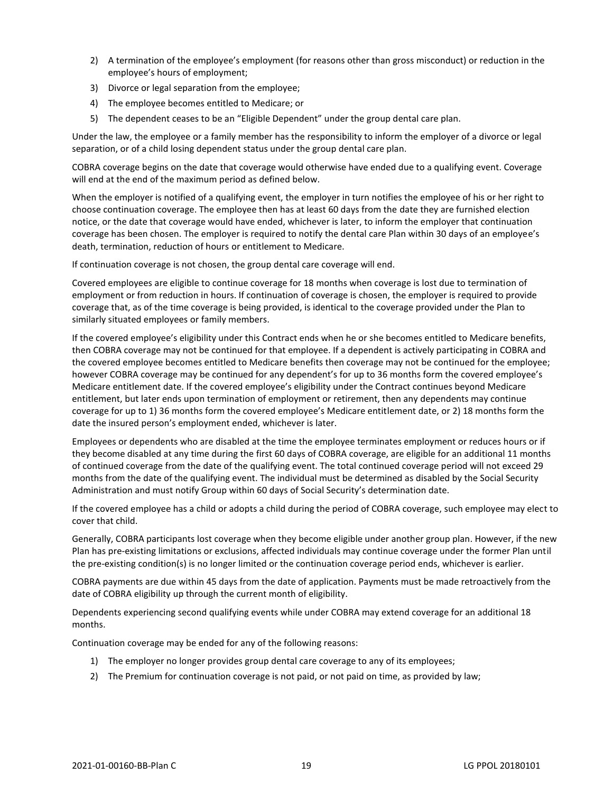- 2) A termination of the employee's employment (for reasons other than gross misconduct) or reduction in the employee's hours of employment;
- 3) Divorce or legal separation from the employee;
- 4) The employee becomes entitled to Medicare; or
- 5) The dependent ceases to be an "Eligible Dependent" under the group dental care plan.

Under the law, the employee or a family member has the responsibility to inform the employer of a divorce or legal separation, or of a child losing dependent status under the group dental care plan.

COBRA coverage begins on the date that coverage would otherwise have ended due to a qualifying event. Coverage will end at the end of the maximum period as defined below.

When the employer is notified of a qualifying event, the employer in turn notifies the employee of his or her right to choose continuation coverage. The employee then has at least 60 days from the date they are furnished election notice, or the date that coverage would have ended, whichever is later, to inform the employer that continuation coverage has been chosen. The employer is required to notify the dental care Plan within 30 days of an employee's death, termination, reduction of hours or entitlement to Medicare.

If continuation coverage is not chosen, the group dental care coverage will end.

Covered employees are eligible to continue coverage for 18 months when coverage is lost due to termination of employment or from reduction in hours. If continuation of coverage is chosen, the employer is required to provide coverage that, as of the time coverage is being provided, is identical to the coverage provided under the Plan to similarly situated employees or family members.

If the covered employee's eligibility under this Contract ends when he or she becomes entitled to Medicare benefits, then COBRA coverage may not be continued for that employee. If a dependent is actively participating in COBRA and the covered employee becomes entitled to Medicare benefits then coverage may not be continued for the employee; however COBRA coverage may be continued for any dependent's for up to 36 months form the covered employee's Medicare entitlement date. If the covered employee's eligibility under the Contract continues beyond Medicare entitlement, but later ends upon termination of employment or retirement, then any dependents may continue coverage for up to 1) 36 months form the covered employee's Medicare entitlement date, or 2) 18 months form the date the insured person's employment ended, whichever is later.

Employees or dependents who are disabled at the time the employee terminates employment or reduces hours or if they become disabled at any time during the first 60 days of COBRA coverage, are eligible for an additional 11 months of continued coverage from the date of the qualifying event. The total continued coverage period will not exceed 29 months from the date of the qualifying event. The individual must be determined as disabled by the Social Security Administration and must notify Group within 60 days of Social Security's determination date.

If the covered employee has a child or adopts a child during the period of COBRA coverage, such employee may elect to cover that child.

Generally, COBRA participants lost coverage when they become eligible under another group plan. However, if the new Plan has pre-existing limitations or exclusions, affected individuals may continue coverage under the former Plan until the pre-existing condition(s) is no longer limited or the continuation coverage period ends, whichever is earlier.

COBRA payments are due within 45 days from the date of application. Payments must be made retroactively from the date of COBRA eligibility up through the current month of eligibility.

Dependents experiencing second qualifying events while under COBRA may extend coverage for an additional 18 months.

Continuation coverage may be ended for any of the following reasons:

- 1) The employer no longer provides group dental care coverage to any of its employees;
- 2) The Premium for continuation coverage is not paid, or not paid on time, as provided by law;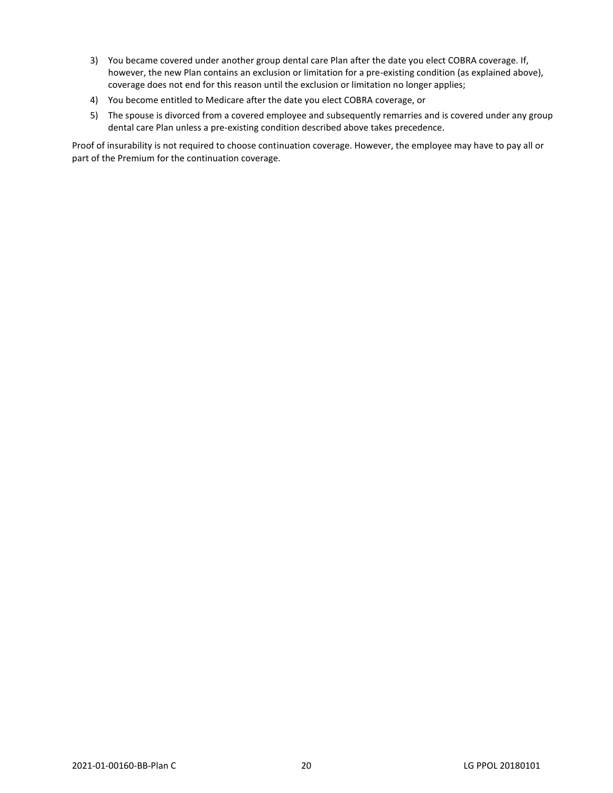- 3) You became covered under another group dental care Plan after the date you elect COBRA coverage. If, however, the new Plan contains an exclusion or limitation for a pre-existing condition (as explained above), coverage does not end for this reason until the exclusion or limitation no longer applies;
- 4) You become entitled to Medicare after the date you elect COBRA coverage, or
- 5) The spouse is divorced from a covered employee and subsequently remarries and is covered under any group dental care Plan unless a pre-existing condition described above takes precedence.

Proof of insurability is not required to choose continuation coverage. However, the employee may have to pay all or part of the Premium for the continuation coverage.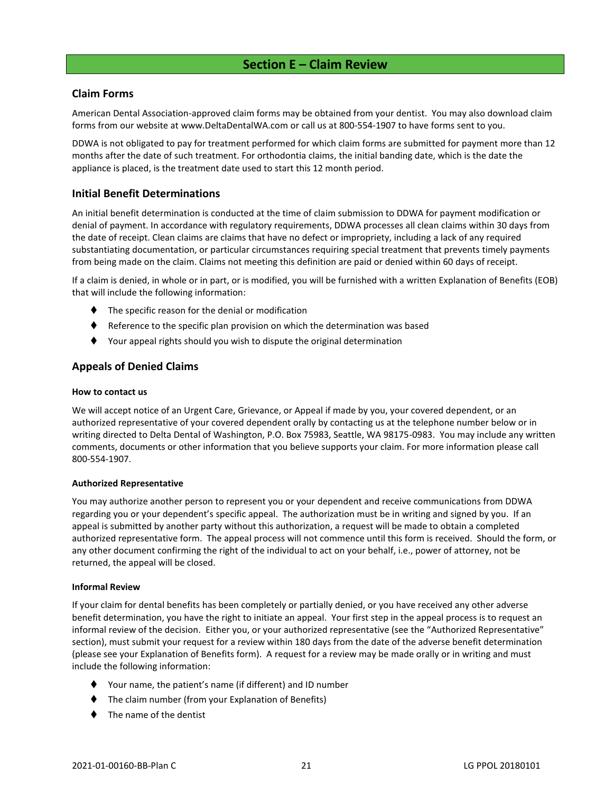# **Section E – Claim Review**

# <span id="page-24-1"></span><span id="page-24-0"></span>**Claim Forms**

American Dental Association-approved claim forms may be obtained from your dentist. You may also download claim forms from our website at www.DeltaDentalWA.com or call us at 800-554-1907 to have forms sent to you.

DDWA is not obligated to pay for treatment performed for which claim forms are submitted for payment more than 12 months after the date of such treatment. For orthodontia claims, the initial banding date, which is the date the appliance is placed, is the treatment date used to start this 12 month period.

# <span id="page-24-2"></span>**Initial Benefit Determinations**

An initial benefit determination is conducted at the time of claim submission to DDWA for payment modification or denial of payment. In accordance with regulatory requirements, DDWA processes all clean claims within 30 days from the date of receipt. Clean claims are claims that have no defect or impropriety, including a lack of any required substantiating documentation, or particular circumstances requiring special treatment that prevents timely payments from being made on the claim. Claims not meeting this definition are paid or denied within 60 days of receipt.

If a claim is denied, in whole or in part, or is modified, you will be furnished with a written Explanation of Benefits (EOB) that will include the following information:

- ⧫ The specific reason for the denial or modification
- Reference to the specific plan provision on which the determination was based
- ⧫ Your appeal rights should you wish to dispute the original determination

# <span id="page-24-3"></span>**Appeals of Denied Claims**

#### **How to contact us**

We will accept notice of an Urgent Care, Grievance, or Appeal if made by you, your covered dependent, or an authorized representative of your covered dependent orally by contacting us at the telephone number below or in writing directed to Delta Dental of Washington, P.O. Box 75983, Seattle, WA 98175-0983. You may include any written comments, documents or other information that you believe supports your claim. For more information please call 800-554-1907.

#### **Authorized Representative**

You may authorize another person to represent you or your dependent and receive communications from DDWA regarding you or your dependent's specific appeal. The authorization must be in writing and signed by you. If an appeal is submitted by another party without this authorization, a request will be made to obtain a completed authorized representative form. The appeal process will not commence until this form is received. Should the form, or any other document confirming the right of the individual to act on your behalf, i.e., power of attorney, not be returned, the appeal will be closed.

#### **Informal Review**

If your claim for dental benefits has been completely or partially denied, or you have received any other adverse benefit determination, you have the right to initiate an appeal. Your first step in the appeal process is to request an informal review of the decision. Either you, or your authorized representative (see the "Authorized Representative" section), must submit your request for a review within 180 days from the date of the adverse benefit determination (please see your Explanation of Benefits form). A request for a review may be made orally or in writing and must include the following information:

- ⧫ Your name, the patient's name (if different) and ID number
- The claim number (from your Explanation of Benefits)
- The name of the dentist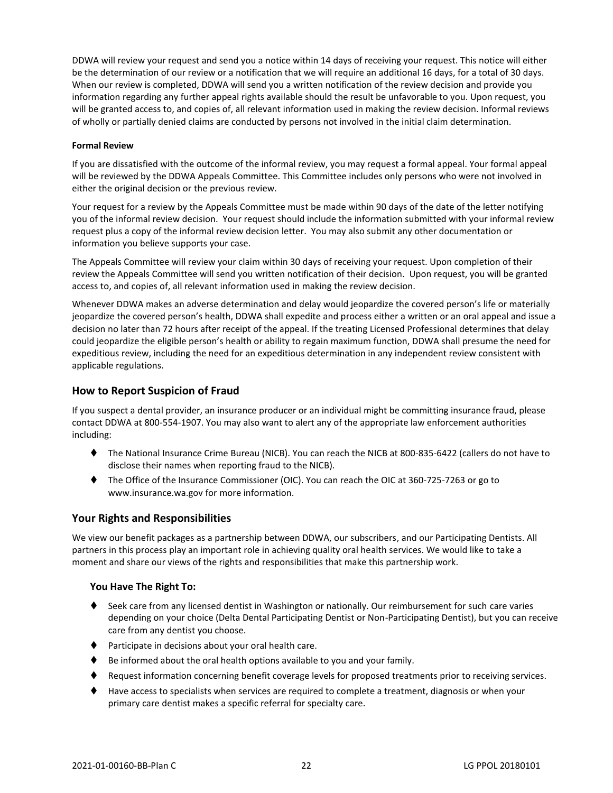DDWA will review your request and send you a notice within 14 days of receiving your request. This notice will either be the determination of our review or a notification that we will require an additional 16 days, for a total of 30 days. When our review is completed, DDWA will send you a written notification of the review decision and provide you information regarding any further appeal rights available should the result be unfavorable to you. Upon request, you will be granted access to, and copies of, all relevant information used in making the review decision. Informal reviews of wholly or partially denied claims are conducted by persons not involved in the initial claim determination.

#### **Formal Review**

If you are dissatisfied with the outcome of the informal review, you may request a formal appeal. Your formal appeal will be reviewed by the DDWA Appeals Committee. This Committee includes only persons who were not involved in either the original decision or the previous review.

Your request for a review by the Appeals Committee must be made within 90 days of the date of the letter notifying you of the informal review decision. Your request should include the information submitted with your informal review request plus a copy of the informal review decision letter. You may also submit any other documentation or information you believe supports your case.

The Appeals Committee will review your claim within 30 days of receiving your request. Upon completion of their review the Appeals Committee will send you written notification of their decision. Upon request, you will be granted access to, and copies of, all relevant information used in making the review decision.

Whenever DDWA makes an adverse determination and delay would jeopardize the covered person's life or materially jeopardize the covered person's health, DDWA shall expedite and process either a written or an oral appeal and issue a decision no later than 72 hours after receipt of the appeal. If the treating Licensed Professional determines that delay could jeopardize the eligible person's health or ability to regain maximum function, DDWA shall presume the need for expeditious review, including the need for an expeditious determination in any independent review consistent with applicable regulations.

# <span id="page-25-0"></span>**How to Report Suspicion of Fraud**

If you suspect a dental provider, an insurance producer or an individual might be committing insurance fraud, please contact DDWA at 800-554-1907. You may also want to alert any of the appropriate law enforcement authorities including:

- ⧫ The National Insurance Crime Bureau (NICB). You can reach the NICB at 800-835-6422 (callers do not have to disclose their names when reporting fraud to the NICB).
- ⧫ The Office of the Insurance Commissioner (OIC). You can reach the OIC at 360-725-7263 or go to www.insurance.wa.gov for more information.

# <span id="page-25-1"></span>**Your Rights and Responsibilities**

We view our benefit packages as a partnership between DDWA, our subscribers, and our Participating Dentists. All partners in this process play an important role in achieving quality oral health services. We would like to take a moment and share our views of the rights and responsibilities that make this partnership work.

#### **You Have The Right To:**

- ♦ Seek care from any licensed dentist in Washington or nationally. Our reimbursement for such care varies depending on your choice (Delta Dental Participating Dentist or Non-Participating Dentist), but you can receive care from any dentist you choose.
- ⧫ Participate in decisions about your oral health care.
- Be informed about the oral health options available to you and your family.
- ♦ Request information concerning benefit coverage levels for proposed treatments prior to receiving services.
- ⧫ Have access to specialists when services are required to complete a treatment, diagnosis or when your primary care dentist makes a specific referral for specialty care.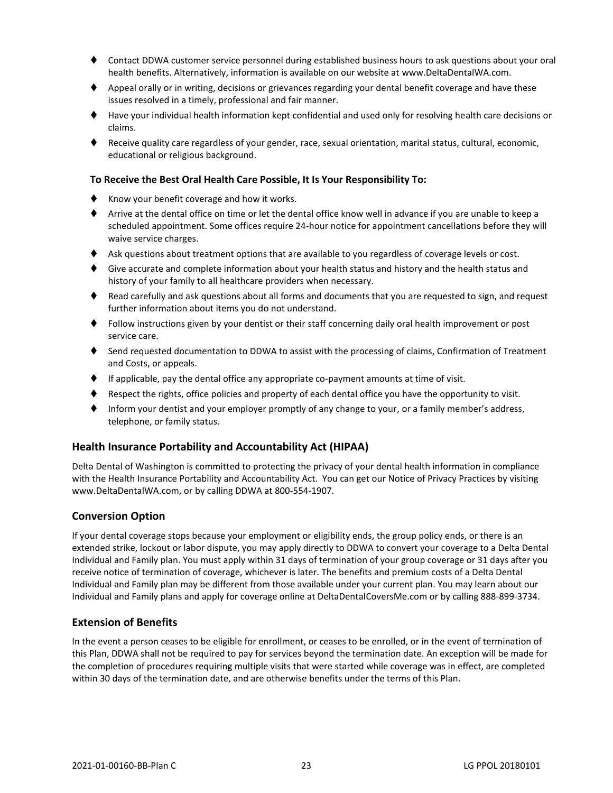- ⧫ Contact DDWA customer service personnel during established business hours to ask questions about your oral health benefits. Alternatively, information is available on our website at www.DeltaDentalWA.com.
- ♦ Appeal orally or in writing, decisions or grievances regarding your dental benefit coverage and have these issues resolved in a timely, professional and fair manner.
- ⧫ Have your individual health information kept confidential and used only for resolving health care decisions or claims.
- ⧫ Receive quality care regardless of your gender, race, sexual orientation, marital status, cultural, economic, educational or religious background.

#### **To Receive the Best Oral Health Care Possible, It Is Your Responsibility To:**

- ♦ Know your benefit coverage and how it works.
- ⧫ Arrive at the dental office on time or let the dental office know well in advance if you are unable to keep a scheduled appointment. Some offices require 24-hour notice for appointment cancellations before they will waive service charges.
- ♦ Ask questions about treatment options that are available to you regardless of coverage levels or cost.
- ♦ Give accurate and complete information about your health status and history and the health status and history of your family to all healthcare providers when necessary.
- ♦ Read carefully and ask questions about all forms and documents that you are requested to sign, and request further information about items you do not understand.
- ⧫ Follow instructions given by your dentist or their staff concerning daily oral health improvement or post service care.
- ♦ Send requested documentation to DDWA to assist with the processing of claims, Confirmation of Treatment and Costs, or appeals.
- ⧫ If applicable, pay the dental office any appropriate co-payment amounts at time of visit.
- Respect the rights, office policies and property of each dental office you have the opportunity to visit.
- Inform your dentist and your employer promptly of any change to your, or a family member's address, telephone, or family status.

#### <span id="page-26-0"></span>**Health Insurance Portability and Accountability Act (HIPAA)**

Delta Dental of Washington is committed to protecting the privacy of your dental health information in compliance with the Health Insurance Portability and Accountability Act. You can get our Notice of Privacy Practices by visiting www.DeltaDentalWA.com, or by calling DDWA at 800-554-1907.

#### <span id="page-26-1"></span>**Conversion Option**

If your dental coverage stops because your employment or eligibility ends, the group policy ends, or there is an extended strike, lockout or labor dispute, you may apply directly to DDWA to convert your coverage to a Delta Dental Individual and Family plan. You must apply within 31 days of termination of your group coverage or 31 days after you receive notice of termination of coverage, whichever is later. The benefits and premium costs of a Delta Dental Individual and Family plan may be different from those available under your current plan. You may learn about our Individual and Family plans and apply for coverage online at DeltaDentalCoversMe.com or by calling 888-899-3734.

#### <span id="page-26-2"></span>**Extension of Benefits**

In the event a person ceases to be eligible for enrollment, or ceases to be enrolled, or in the event of termination of this Plan, DDWA shall not be required to pay for services beyond the termination date. An exception will be made for the completion of procedures requiring multiple visits that were started while coverage was in effect, are completed within 30 days of the termination date, and are otherwise benefits under the terms of this Plan.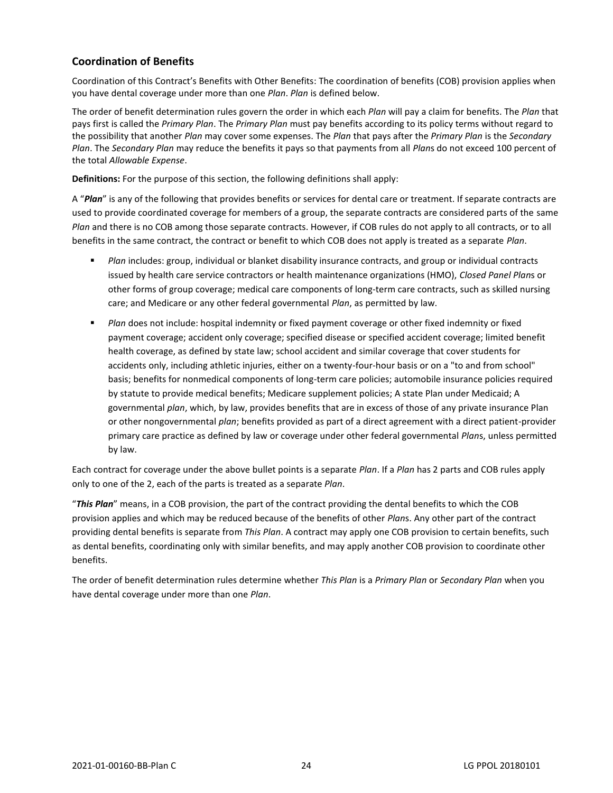# <span id="page-27-0"></span>**Coordination of Benefits**

Coordination of this Contract's Benefits with Other Benefits: The coordination of benefits (COB) provision applies when you have dental coverage under more than one *Plan*. *Plan* is defined below.

The order of benefit determination rules govern the order in which each *Plan* will pay a claim for benefits. The *Plan* that pays first is called the *Primary Plan*. The *Primary Plan* must pay benefits according to its policy terms without regard to the possibility that another *Plan* may cover some expenses. The *Plan* that pays after the *Primary Plan* is the *Secondary Plan*. The *Secondary Plan* may reduce the benefits it pays so that payments from all *Plan*s do not exceed 100 percent of the total *Allowable Expense*.

**Definitions:** For the purpose of this section, the following definitions shall apply:

A "*Plan*" is any of the following that provides benefits or services for dental care or treatment. If separate contracts are used to provide coordinated coverage for members of a group, the separate contracts are considered parts of the same *Plan* and there is no COB among those separate contracts. However, if COB rules do not apply to all contracts, or to all benefits in the same contract, the contract or benefit to which COB does not apply is treated as a separate *Plan*.

- *Plan* includes: group, individual or blanket disability insurance contracts, and group or individual contracts issued by health care service contractors or health maintenance organizations (HMO), *Closed Panel Plan*s or other forms of group coverage; medical care components of long-term care contracts, such as skilled nursing care; and Medicare or any other federal governmental *Plan*, as permitted by law.
- **■** *Plan* does not include: hospital indemnity or fixed payment coverage or other fixed indemnity or fixed payment coverage; accident only coverage; specified disease or specified accident coverage; limited benefit health coverage, as defined by state law; school accident and similar coverage that cover students for accidents only, including athletic injuries, either on a twenty-four-hour basis or on a "to and from school" basis; benefits for nonmedical components of long-term care policies; automobile insurance policies required by statute to provide medical benefits; Medicare supplement policies; A state Plan under Medicaid; A governmental *plan*, which, by law, provides benefits that are in excess of those of any private insurance Plan or other nongovernmental *plan*; benefits provided as part of a direct agreement with a direct patient-provider primary care practice as defined by law or coverage under other federal governmental *Plan*s, unless permitted by law.

Each contract for coverage under the above bullet points is a separate *Plan*. If a *Plan* has 2 parts and COB rules apply only to one of the 2, each of the parts is treated as a separate *Plan*.

"*This Plan*" means, in a COB provision, the part of the contract providing the dental benefits to which the COB provision applies and which may be reduced because of the benefits of other *Plan*s. Any other part of the contract providing dental benefits is separate from *This Plan*. A contract may apply one COB provision to certain benefits, such as dental benefits, coordinating only with similar benefits, and may apply another COB provision to coordinate other benefits.

The order of benefit determination rules determine whether *This Plan* is a *Primary Plan* or *Secondary Plan* when you have dental coverage under more than one *Plan*.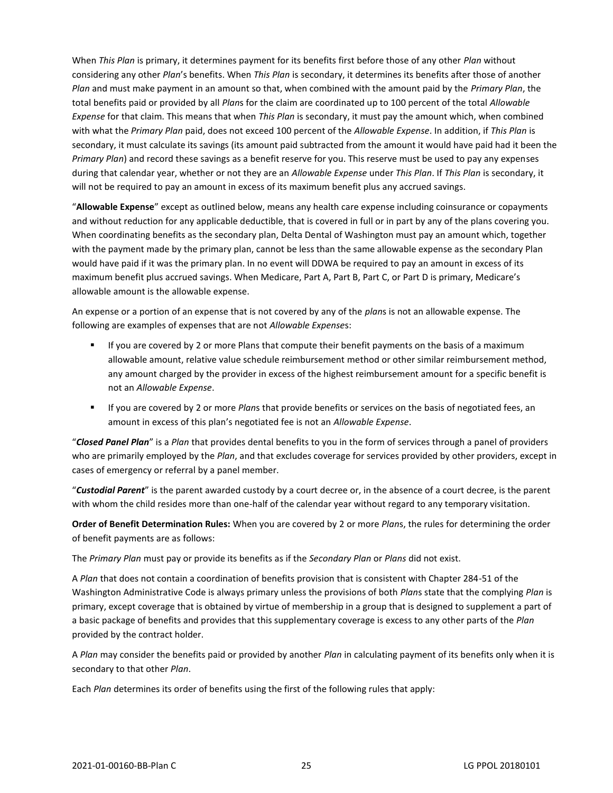When *This Plan* is primary, it determines payment for its benefits first before those of any other *Plan* without considering any other *Plan*'s benefits. When *This Plan* is secondary, it determines its benefits after those of another *Plan* and must make payment in an amount so that, when combined with the amount paid by the *Primary Plan*, the total benefits paid or provided by all *Plan*s for the claim are coordinated up to 100 percent of the total *Allowable Expense* for that claim. This means that when *This Plan* is secondary, it must pay the amount which, when combined with what the *Primary Plan* paid, does not exceed 100 percent of the *Allowable Expense*. In addition, if *This Plan* is secondary, it must calculate its savings (its amount paid subtracted from the amount it would have paid had it been the *Primary Plan*) and record these savings as a benefit reserve for you. This reserve must be used to pay any expenses during that calendar year, whether or not they are an *Allowable Expense* under *This Plan*. If *This Plan* is secondary, it will not be required to pay an amount in excess of its maximum benefit plus any accrued savings.

"**Allowable Expense**" except as outlined below, means any health care expense including coinsurance or copayments and without reduction for any applicable deductible, that is covered in full or in part by any of the plans covering you. When coordinating benefits as the secondary plan, Delta Dental of Washington must pay an amount which, together with the payment made by the primary plan, cannot be less than the same allowable expense as the secondary Plan would have paid if it was the primary plan. In no event will DDWA be required to pay an amount in excess of its maximum benefit plus accrued savings. When Medicare, Part A, Part B, Part C, or Part D is primary, Medicare's allowable amount is the allowable expense.

An expense or a portion of an expense that is not covered by any of the *plan*s is not an allowable expense. The following are examples of expenses that are not *Allowable Expense*s:

- **■** If you are covered by 2 or more Plans that compute their benefit payments on the basis of a maximum allowable amount, relative value schedule reimbursement method or other similar reimbursement method, any amount charged by the provider in excess of the highest reimbursement amount for a specific benefit is not an *Allowable Expense*.
- If you are covered by 2 or more *Plan*s that provide benefits or services on the basis of negotiated fees, an amount in excess of this plan's negotiated fee is not an *Allowable Expense*.

"*Closed Panel Plan*" is a *Plan* that provides dental benefits to you in the form of services through a panel of providers who are primarily employed by the *Plan*, and that excludes coverage for services provided by other providers, except in cases of emergency or referral by a panel member.

"*Custodial Parent*" is the parent awarded custody by a court decree or, in the absence of a court decree, is the parent with whom the child resides more than one-half of the calendar year without regard to any temporary visitation.

**Order of Benefit Determination Rules:** When you are covered by 2 or more *Plan*s, the rules for determining the order of benefit payments are as follows:

The *Primary Plan* must pay or provide its benefits as if the *Secondary Plan* or *Plans* did not exist.

A *Plan* that does not contain a coordination of benefits provision that is consistent with Chapter 284-51 of the Washington Administrative Code is always primary unless the provisions of both *Plan*s state that the complying *Plan* is primary, except coverage that is obtained by virtue of membership in a group that is designed to supplement a part of a basic package of benefits and provides that this supplementary coverage is excess to any other parts of the *Plan* provided by the contract holder.

A *Plan* may consider the benefits paid or provided by another *Plan* in calculating payment of its benefits only when it is secondary to that other *Plan*.

Each *Plan* determines its order of benefits using the first of the following rules that apply: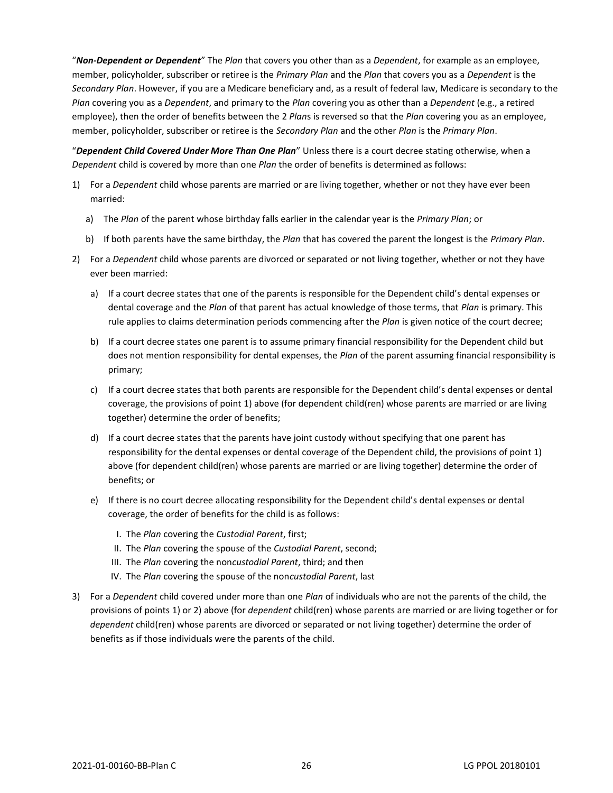"*Non-Dependent or Dependent*" The *Plan* that covers you other than as a *Dependent*, for example as an employee, member, policyholder, subscriber or retiree is the *Primary Plan* and the *Plan* that covers you as a *Dependent* is the *Secondary Plan*. However, if you are a Medicare beneficiary and, as a result of federal law, Medicare is secondary to the *Plan* covering you as a *Dependent*, and primary to the *Plan* covering you as other than a *Dependent* (e.g., a retired employee), then the order of benefits between the 2 *Plan*s is reversed so that the *Plan* covering you as an employee, member, policyholder, subscriber or retiree is the *Secondary Plan* and the other *Plan* is the *Primary Plan*.

"*Dependent Child Covered Under More Than One Plan*" Unless there is a court decree stating otherwise, when a *Dependent* child is covered by more than one *Plan* the order of benefits is determined as follows:

- 1) For a *Dependent* child whose parents are married or are living together, whether or not they have ever been married:
	- a) The *Plan* of the parent whose birthday falls earlier in the calendar year is the *Primary Plan*; or
	- b) If both parents have the same birthday, the *Plan* that has covered the parent the longest is the *Primary Plan*.
- 2) For a *Dependent* child whose parents are divorced or separated or not living together, whether or not they have ever been married:
	- a) If a court decree states that one of the parents is responsible for the Dependent child's dental expenses or dental coverage and the *Plan* of that parent has actual knowledge of those terms, that *Plan* is primary. This rule applies to claims determination periods commencing after the *Plan* is given notice of the court decree;
	- b) If a court decree states one parent is to assume primary financial responsibility for the Dependent child but does not mention responsibility for dental expenses, the *Plan* of the parent assuming financial responsibility is primary;
	- c) If a court decree states that both parents are responsible for the Dependent child's dental expenses or dental coverage, the provisions of point 1) above (for dependent child(ren) whose parents are married or are living together) determine the order of benefits;
	- d) If a court decree states that the parents have joint custody without specifying that one parent has responsibility for the dental expenses or dental coverage of the Dependent child, the provisions of point 1) above (for dependent child(ren) whose parents are married or are living together) determine the order of benefits; or
	- e) If there is no court decree allocating responsibility for the Dependent child's dental expenses or dental coverage, the order of benefits for the child is as follows:
		- I. The *Plan* covering the *Custodial Parent*, first;
		- II. The *Plan* covering the spouse of the *Custodial Parent*, second;
		- III. The *Plan* covering the non*custodial Parent*, third; and then
		- IV. The *Plan* covering the spouse of the non*custodial Parent*, last
- 3) For a *Dependent* child covered under more than one *Plan* of individuals who are not the parents of the child, the provisions of points 1) or 2) above (for *dependent* child(ren) whose parents are married or are living together or for *dependent* child(ren) whose parents are divorced or separated or not living together) determine the order of benefits as if those individuals were the parents of the child.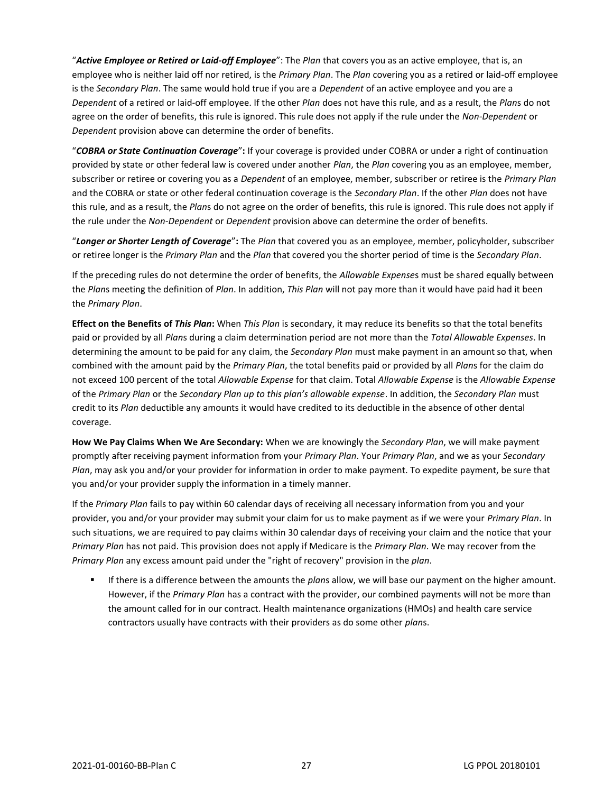"*Active Employee or Retired or Laid-off Employee*": The *Plan* that covers you as an active employee, that is, an employee who is neither laid off nor retired, is the *Primary Plan*. The *Plan* covering you as a retired or laid-off employee is the *Secondary Plan*. The same would hold true if you are a *Dependent* of an active employee and you are a *Dependent* of a retired or laid-off employee. If the other *Plan* does not have this rule, and as a result, the *Plan*s do not agree on the order of benefits, this rule is ignored. This rule does not apply if the rule under the *Non-Dependent* or *Dependent* provision above can determine the order of benefits.

"*COBRA or State Continuation Coverage*"**:** If your coverage is provided under COBRA or under a right of continuation provided by state or other federal law is covered under another *Plan*, the *Plan* covering you as an employee, member, subscriber or retiree or covering you as a *Dependent* of an employee, member, subscriber or retiree is the *Primary Plan* and the COBRA or state or other federal continuation coverage is the *Secondary Plan*. If the other *Plan* does not have this rule, and as a result, the *Plan*s do not agree on the order of benefits, this rule is ignored. This rule does not apply if the rule under the *Non-Dependent* or *Dependent* provision above can determine the order of benefits.

"*Longer or Shorter Length of Coverage*"**:** The *Plan* that covered you as an employee, member, policyholder, subscriber or retiree longer is the *Primary Plan* and the *Plan* that covered you the shorter period of time is the *Secondary Plan*.

If the preceding rules do not determine the order of benefits, the *Allowable Expense*s must be shared equally between the *Plan*s meeting the definition of *Plan*. In addition, *This Plan* will not pay more than it would have paid had it been the *Primary Plan*.

**Effect on the Benefits of** *This Plan***:** When *This Plan* is secondary, it may reduce its benefits so that the total benefits paid or provided by all *Plan*s during a claim determination period are not more than the *Total Allowable Expenses*. In determining the amount to be paid for any claim, the *Secondary Plan* must make payment in an amount so that, when combined with the amount paid by the *Primary Plan*, the total benefits paid or provided by all *Plan*s for the claim do not exceed 100 percent of the total *Allowable Expense* for that claim. Total *Allowable Expense* is the *Allowable Expense* of the *Primary Plan* or the *Secondary Plan up to this plan's allowable expense*. In addition, the *Secondary Plan* must credit to its *Plan* deductible any amounts it would have credited to its deductible in the absence of other dental coverage.

**How We Pay Claims When We Are Secondary:** When we are knowingly the *Secondary Plan*, we will make payment promptly after receiving payment information from your *Primary Plan*. Your *Primary Plan*, and we as your *Secondary Plan*, may ask you and/or your provider for information in order to make payment. To expedite payment, be sure that you and/or your provider supply the information in a timely manner.

If the *Primary Plan* fails to pay within 60 calendar days of receiving all necessary information from you and your provider, you and/or your provider may submit your claim for us to make payment as if we were your *Primary Plan*. In such situations, we are required to pay claims within 30 calendar days of receiving your claim and the notice that your *Primary Plan* has not paid. This provision does not apply if Medicare is the *Primary Plan*. We may recover from the *Primary Plan* any excess amount paid under the "right of recovery" provision in the *plan*.

If there is a difference between the amounts the *plans* allow, we will base our payment on the higher amount. However, if the *Primary Plan* has a contract with the provider, our combined payments will not be more than the amount called for in our contract. Health maintenance organizations (HMOs) and health care service contractors usually have contracts with their providers as do some other *plan*s.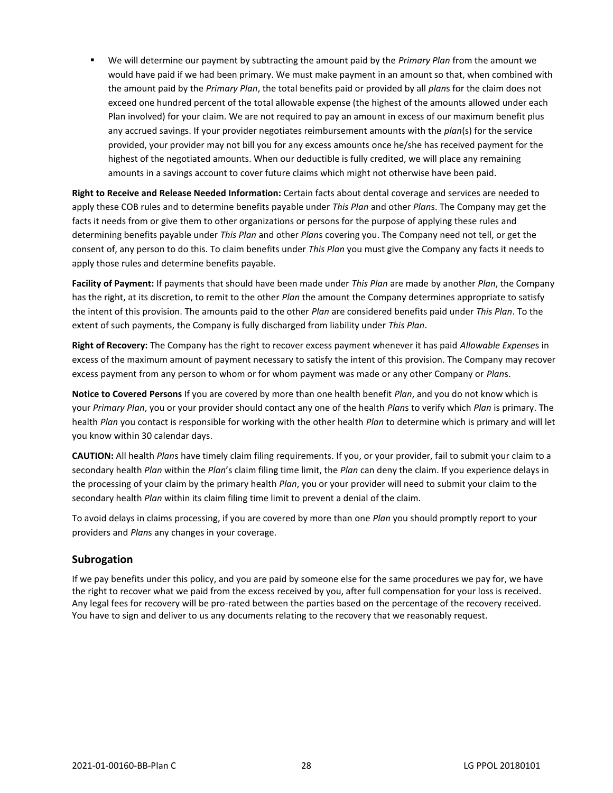▪ We will determine our payment by subtracting the amount paid by the *Primary Plan* from the amount we would have paid if we had been primary. We must make payment in an amount so that, when combined with the amount paid by the *Primary Plan*, the total benefits paid or provided by all *plan*s for the claim does not exceed one hundred percent of the total allowable expense (the highest of the amounts allowed under each Plan involved) for your claim. We are not required to pay an amount in excess of our maximum benefit plus any accrued savings. If your provider negotiates reimbursement amounts with the *plan*(s) for the service provided, your provider may not bill you for any excess amounts once he/she has received payment for the highest of the negotiated amounts. When our deductible is fully credited, we will place any remaining amounts in a savings account to cover future claims which might not otherwise have been paid.

**Right to Receive and Release Needed Information:** Certain facts about dental coverage and services are needed to apply these COB rules and to determine benefits payable under *This Plan* and other *Plan*s. The Company may get the facts it needs from or give them to other organizations or persons for the purpose of applying these rules and determining benefits payable under *This Plan* and other *Plan*s covering you. The Company need not tell, or get the consent of, any person to do this. To claim benefits under *This Plan* you must give the Company any facts it needs to apply those rules and determine benefits payable.

**Facility of Payment:** If payments that should have been made under *This Plan* are made by another *Plan*, the Company has the right, at its discretion, to remit to the other *Plan* the amount the Company determines appropriate to satisfy the intent of this provision. The amounts paid to the other *Plan* are considered benefits paid under *This Plan*. To the extent of such payments, the Company is fully discharged from liability under *This Plan*.

**Right of Recovery:** The Company has the right to recover excess payment whenever it has paid *Allowable Expense*s in excess of the maximum amount of payment necessary to satisfy the intent of this provision. The Company may recover excess payment from any person to whom or for whom payment was made or any other Company or *Plan*s.

**Notice to Covered Persons** If you are covered by more than one health benefit *Plan*, and you do not know which is your *Primary Plan*, you or your provider should contact any one of the health *Plan*s to verify which *Plan* is primary. The health *Plan* you contact is responsible for working with the other health *Plan* to determine which is primary and will let you know within 30 calendar days.

**CAUTION:** All health *Plan*s have timely claim filing requirements. If you, or your provider, fail to submit your claim to a secondary health *Plan* within the *Plan*'s claim filing time limit, the *Plan* can deny the claim. If you experience delays in the processing of your claim by the primary health *Plan*, you or your provider will need to submit your claim to the secondary health *Plan* within its claim filing time limit to prevent a denial of the claim.

To avoid delays in claims processing, if you are covered by more than one *Plan* you should promptly report to your providers and *Plan*s any changes in your coverage.

# <span id="page-31-0"></span>**Subrogation**

If we pay benefits under this policy, and you are paid by someone else for the same procedures we pay for, we have the right to recover what we paid from the excess received by you, after full compensation for your loss is received. Any legal fees for recovery will be pro-rated between the parties based on the percentage of the recovery received. You have to sign and deliver to us any documents relating to the recovery that we reasonably request.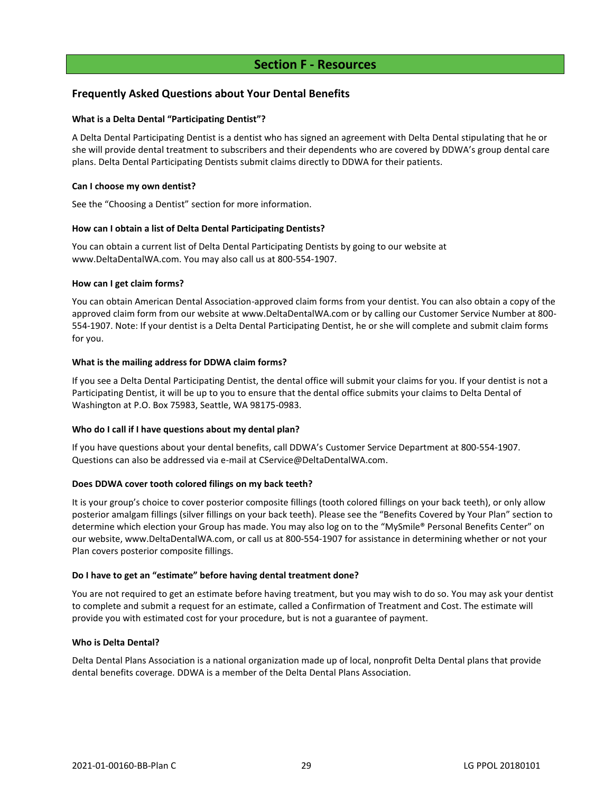# **Section F - Resources**

# <span id="page-32-1"></span><span id="page-32-0"></span>**Frequently Asked Questions about Your Dental Benefits**

#### **What is a Delta Dental "Participating Dentist"?**

A Delta Dental Participating Dentist is a dentist who has signed an agreement with Delta Dental stipulating that he or she will provide dental treatment to subscribers and their dependents who are covered by DDWA's group dental care plans. Delta Dental Participating Dentists submit claims directly to DDWA for their patients.

#### **Can I choose my own dentist?**

See the "Choosing a Dentist" section for more information.

#### **How can I obtain a list of Delta Dental Participating Dentists?**

You can obtain a current list of Delta Dental Participating Dentists by going to our website at www.DeltaDentalWA.com. You may also call us at 800-554-1907.

#### **How can I get claim forms?**

You can obtain American Dental Association-approved claim forms from your dentist. You can also obtain a copy of the approved claim form from our website at www.DeltaDentalWA.com or by calling our Customer Service Number at 800- 554-1907. Note: If your dentist is a Delta Dental Participating Dentist, he or she will complete and submit claim forms for you.

#### **What is the mailing address for DDWA claim forms?**

If you see a Delta Dental Participating Dentist, the dental office will submit your claims for you. If your dentist is not a Participating Dentist, it will be up to you to ensure that the dental office submits your claims to Delta Dental of Washington at P.O. Box 75983, Seattle, WA 98175-0983.

#### **Who do I call if I have questions about my dental plan?**

If you have questions about your dental benefits, call DDWA's Customer Service Department at 800-554-1907. Questions can also be addressed via e-mail at CService@DeltaDentalWA.com.

#### **Does DDWA cover tooth colored filings on my back teeth?**

It is your group's choice to cover posterior composite fillings (tooth colored fillings on your back teeth), or only allow posterior amalgam fillings (silver fillings on your back teeth). Please see the "Benefits Covered by Your Plan" section to determine which election your Group has made. You may also log on to the "MySmile® Personal Benefits Center" on our website, www.DeltaDentalWA.com, or call us at 800-554-1907 for assistance in determining whether or not your Plan covers posterior composite fillings.

#### **Do I have to get an "estimate" before having dental treatment done?**

You are not required to get an estimate before having treatment, but you may wish to do so. You may ask your dentist to complete and submit a request for an estimate, called a Confirmation of Treatment and Cost. The estimate will provide you with estimated cost for your procedure, but is not a guarantee of payment.

#### **Who is Delta Dental?**

Delta Dental Plans Association is a national organization made up of local, nonprofit Delta Dental plans that provide dental benefits coverage. DDWA is a member of the Delta Dental Plans Association.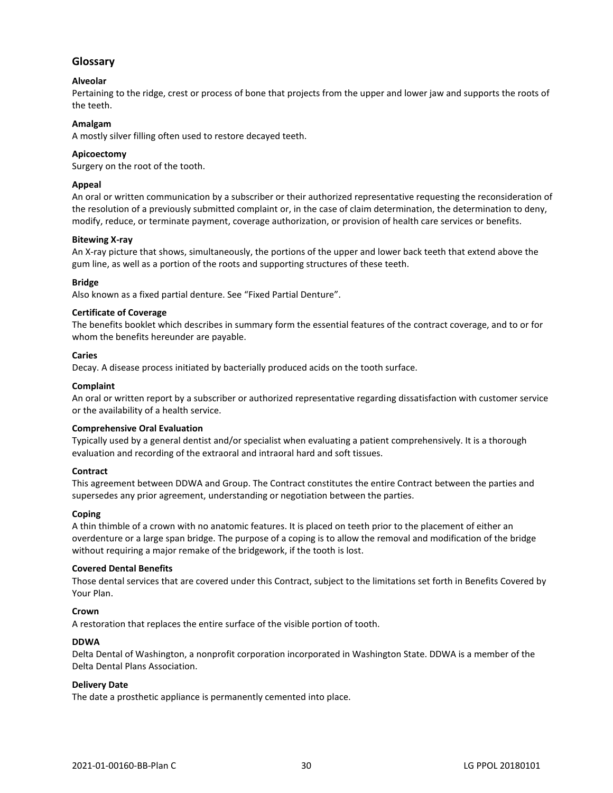# <span id="page-33-0"></span>**Glossary**

# **Alveolar**

Pertaining to the ridge, crest or process of bone that projects from the upper and lower jaw and supports the roots of the teeth.

#### **Amalgam**

A mostly silver filling often used to restore decayed teeth.

#### **Apicoectomy**

Surgery on the root of the tooth.

#### **Appeal**

An oral or written communication by a subscriber or their authorized representative requesting the reconsideration of the resolution of a previously submitted complaint or, in the case of claim determination, the determination to deny, modify, reduce, or terminate payment, coverage authorization, or provision of health care services or benefits.

#### **Bitewing X-ray**

An X-ray picture that shows, simultaneously, the portions of the upper and lower back teeth that extend above the gum line, as well as a portion of the roots and supporting structures of these teeth.

#### **Bridge**

Also known as a fixed partial denture. See "Fixed Partial Denture".

#### **Certificate of Coverage**

The benefits booklet which describes in summary form the essential features of the contract coverage, and to or for whom the benefits hereunder are payable.

#### **Caries**

Decay. A disease process initiated by bacterially produced acids on the tooth surface.

#### **Complaint**

An oral or written report by a subscriber or authorized representative regarding dissatisfaction with customer service or the availability of a health service.

#### **Comprehensive Oral Evaluation**

Typically used by a general dentist and/or specialist when evaluating a patient comprehensively. It is a thorough evaluation and recording of the extraoral and intraoral hard and soft tissues.

#### **Contract**

This agreement between DDWA and Group. The Contract constitutes the entire Contract between the parties and supersedes any prior agreement, understanding or negotiation between the parties.

#### **Coping**

A thin thimble of a crown with no anatomic features. It is placed on teeth prior to the placement of either an overdenture or a large span bridge. The purpose of a coping is to allow the removal and modification of the bridge without requiring a major remake of the bridgework, if the tooth is lost.

#### **Covered Dental Benefits**

Those dental services that are covered under this Contract, subject to the limitations set forth in Benefits Covered by Your Plan.

#### **Crown**

A restoration that replaces the entire surface of the visible portion of tooth.

#### **DDWA**

Delta Dental of Washington, a nonprofit corporation incorporated in Washington State. DDWA is a member of the Delta Dental Plans Association.

#### **Delivery Date**

The date a prosthetic appliance is permanently cemented into place.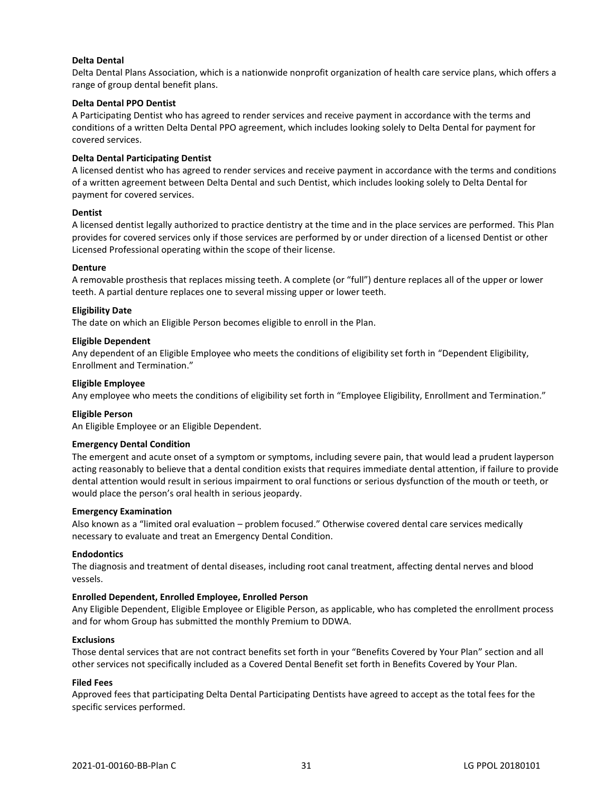#### **Delta Dental**

Delta Dental Plans Association, which is a nationwide nonprofit organization of health care service plans, which offers a range of group dental benefit plans.

#### **Delta Dental PPO Dentist**

A Participating Dentist who has agreed to render services and receive payment in accordance with the terms and conditions of a written Delta Dental PPO agreement, which includes looking solely to Delta Dental for payment for covered services.

#### **Delta Dental Participating Dentist**

A licensed dentist who has agreed to render services and receive payment in accordance with the terms and conditions of a written agreement between Delta Dental and such Dentist, which includes looking solely to Delta Dental for payment for covered services.

#### **Dentist**

A licensed dentist legally authorized to practice dentistry at the time and in the place services are performed. This Plan provides for covered services only if those services are performed by or under direction of a licensed Dentist or other Licensed Professional operating within the scope of their license.

#### **Denture**

A removable prosthesis that replaces missing teeth. A complete (or "full") denture replaces all of the upper or lower teeth. A partial denture replaces one to several missing upper or lower teeth.

#### **Eligibility Date**

The date on which an Eligible Person becomes eligible to enroll in the Plan.

#### **Eligible Dependent**

Any dependent of an Eligible Employee who meets the conditions of eligibility set forth in "Dependent Eligibility, Enrollment and Termination."

#### **Eligible Employee**

Any employee who meets the conditions of eligibility set forth in "Employee Eligibility, Enrollment and Termination."

#### **Eligible Person**

An Eligible Employee or an Eligible Dependent.

#### **Emergency Dental Condition**

The emergent and acute onset of a symptom or symptoms, including severe pain, that would lead a prudent layperson acting reasonably to believe that a dental condition exists that requires immediate dental attention, if failure to provide dental attention would result in serious impairment to oral functions or serious dysfunction of the mouth or teeth, or would place the person's oral health in serious jeopardy.

#### **Emergency Examination**

Also known as a "limited oral evaluation – problem focused." Otherwise covered dental care services medically necessary to evaluate and treat an Emergency Dental Condition.

#### **Endodontics**

The diagnosis and treatment of dental diseases, including root canal treatment, affecting dental nerves and blood vessels.

#### **Enrolled Dependent, Enrolled Employee, Enrolled Person**

Any Eligible Dependent, Eligible Employee or Eligible Person, as applicable, who has completed the enrollment process and for whom Group has submitted the monthly Premium to DDWA.

#### **Exclusions**

Those dental services that are not contract benefits set forth in your "Benefits Covered by Your Plan" section and all other services not specifically included as a Covered Dental Benefit set forth in Benefits Covered by Your Plan.

#### **Filed Fees**

Approved fees that participating Delta Dental Participating Dentists have agreed to accept as the total fees for the specific services performed.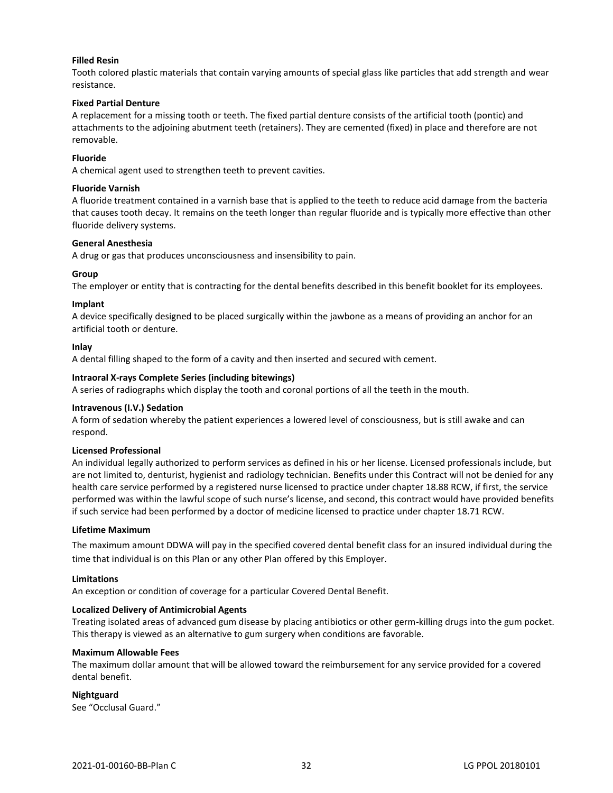#### **Filled Resin**

Tooth colored plastic materials that contain varying amounts of special glass like particles that add strength and wear resistance.

#### **Fixed Partial Denture**

A replacement for a missing tooth or teeth. The fixed partial denture consists of the artificial tooth (pontic) and attachments to the adjoining abutment teeth (retainers). They are cemented (fixed) in place and therefore are not removable.

#### **Fluoride**

A chemical agent used to strengthen teeth to prevent cavities.

#### **Fluoride Varnish**

A fluoride treatment contained in a varnish base that is applied to the teeth to reduce acid damage from the bacteria that causes tooth decay. It remains on the teeth longer than regular fluoride and is typically more effective than other fluoride delivery systems.

#### **General Anesthesia**

A drug or gas that produces unconsciousness and insensibility to pain.

#### **Group**

The employer or entity that is contracting for the dental benefits described in this benefit booklet for its employees.

#### **Implant**

A device specifically designed to be placed surgically within the jawbone as a means of providing an anchor for an artificial tooth or denture.

#### **Inlay**

A dental filling shaped to the form of a cavity and then inserted and secured with cement.

#### **Intraoral X-rays Complete Series (including bitewings)**

A series of radiographs which display the tooth and coronal portions of all the teeth in the mouth.

#### **Intravenous (I.V.) Sedation**

A form of sedation whereby the patient experiences a lowered level of consciousness, but is still awake and can respond.

#### **Licensed Professional**

An individual legally authorized to perform services as defined in his or her license. Licensed professionals include, but are not limited to, denturist, hygienist and radiology technician. Benefits under this Contract will not be denied for any health care service performed by a registered nurse licensed to practice under chapter 18.88 RCW, if first, the service performed was within the lawful scope of such nurse's license, and second, this contract would have provided benefits if such service had been performed by a doctor of medicine licensed to practice under chapter 18.71 RCW.

#### **Lifetime Maximum**

The maximum amount DDWA will pay in the specified covered dental benefit class for an insured individual during the time that individual is on this Plan or any other Plan offered by this Employer.

#### **Limitations**

An exception or condition of coverage for a particular Covered Dental Benefit.

#### **Localized Delivery of Antimicrobial Agents**

Treating isolated areas of advanced gum disease by placing antibiotics or other germ-killing drugs into the gum pocket. This therapy is viewed as an alternative to gum surgery when conditions are favorable.

#### **Maximum Allowable Fees**

The maximum dollar amount that will be allowed toward the reimbursement for any service provided for a covered dental benefit.

**Nightguard**

See "Occlusal Guard."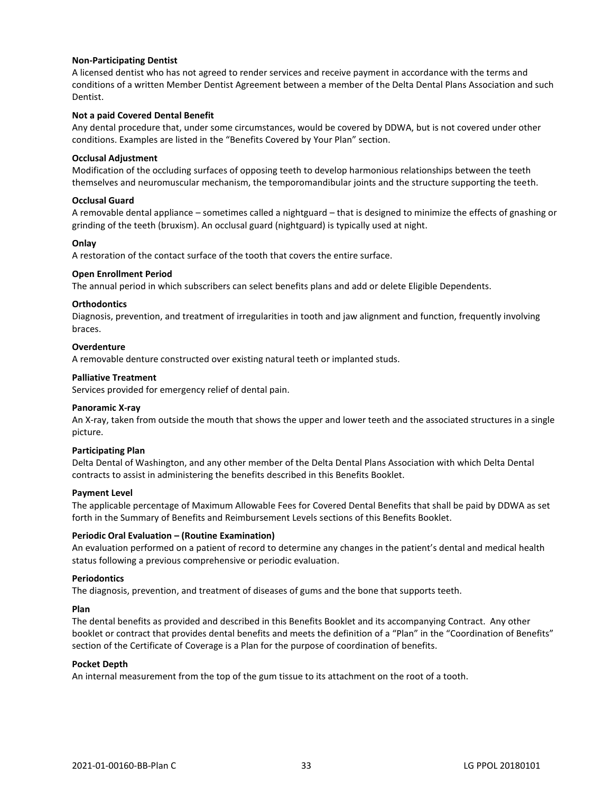#### **Non-Participating Dentist**

A licensed dentist who has not agreed to render services and receive payment in accordance with the terms and conditions of a written Member Dentist Agreement between a member of the Delta Dental Plans Association and such Dentist.

#### **Not a paid Covered Dental Benefit**

Any dental procedure that, under some circumstances, would be covered by DDWA, but is not covered under other conditions. Examples are listed in the "Benefits Covered by Your Plan" section.

#### **Occlusal Adjustment**

Modification of the occluding surfaces of opposing teeth to develop harmonious relationships between the teeth themselves and neuromuscular mechanism, the temporomandibular joints and the structure supporting the teeth.

#### **Occlusal Guard**

A removable dental appliance – sometimes called a nightguard – that is designed to minimize the effects of gnashing or grinding of the teeth (bruxism). An occlusal guard (nightguard) is typically used at night.

#### **Onlay**

A restoration of the contact surface of the tooth that covers the entire surface.

#### **Open Enrollment Period**

The annual period in which subscribers can select benefits plans and add or delete Eligible Dependents.

#### **Orthodontics**

Diagnosis, prevention, and treatment of irregularities in tooth and jaw alignment and function, frequently involving braces.

#### **Overdenture**

A removable denture constructed over existing natural teeth or implanted studs.

#### **Palliative Treatment**

Services provided for emergency relief of dental pain.

#### **Panoramic X-ray**

An X-ray, taken from outside the mouth that shows the upper and lower teeth and the associated structures in a single picture.

#### **Participating Plan**

Delta Dental of Washington, and any other member of the Delta Dental Plans Association with which Delta Dental contracts to assist in administering the benefits described in this Benefits Booklet.

#### **Payment Level**

The applicable percentage of Maximum Allowable Fees for Covered Dental Benefits that shall be paid by DDWA as set forth in the Summary of Benefits and Reimbursement Levels sections of this Benefits Booklet.

#### **Periodic Oral Evaluation – (Routine Examination)**

An evaluation performed on a patient of record to determine any changes in the patient's dental and medical health status following a previous comprehensive or periodic evaluation.

#### **Periodontics**

The diagnosis, prevention, and treatment of diseases of gums and the bone that supports teeth.

#### **Plan**

The dental benefits as provided and described in this Benefits Booklet and its accompanying Contract. Any other booklet or contract that provides dental benefits and meets the definition of a "Plan" in the "Coordination of Benefits" section of the Certificate of Coverage is a Plan for the purpose of coordination of benefits.

#### **Pocket Depth**

An internal measurement from the top of the gum tissue to its attachment on the root of a tooth.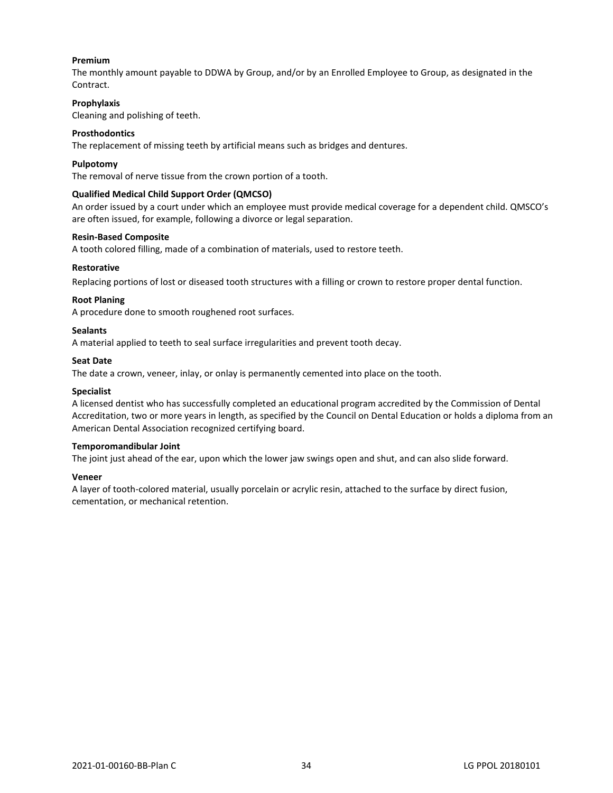#### **Premium**

The monthly amount payable to DDWA by Group, and/or by an Enrolled Employee to Group, as designated in the Contract.

#### **Prophylaxis**

Cleaning and polishing of teeth.

#### **Prosthodontics**

The replacement of missing teeth by artificial means such as bridges and dentures.

#### **Pulpotomy**

The removal of nerve tissue from the crown portion of a tooth.

#### **Qualified Medical Child Support Order (QMCSO)**

An order issued by a court under which an employee must provide medical coverage for a dependent child. QMSCO's are often issued, for example, following a divorce or legal separation.

#### **Resin-Based Composite**

A tooth colored filling, made of a combination of materials, used to restore teeth.

#### **Restorative**

Replacing portions of lost or diseased tooth structures with a filling or crown to restore proper dental function.

#### **Root Planing**

A procedure done to smooth roughened root surfaces.

#### **Sealants**

A material applied to teeth to seal surface irregularities and prevent tooth decay.

#### **Seat Date**

The date a crown, veneer, inlay, or onlay is permanently cemented into place on the tooth.

#### **Specialist**

A licensed dentist who has successfully completed an educational program accredited by the Commission of Dental Accreditation, two or more years in length, as specified by the Council on Dental Education or holds a diploma from an American Dental Association recognized certifying board.

#### **Temporomandibular Joint**

The joint just ahead of the ear, upon which the lower jaw swings open and shut, and can also slide forward.

#### **Veneer**

A layer of tooth-colored material, usually porcelain or acrylic resin, attached to the surface by direct fusion, cementation, or mechanical retention.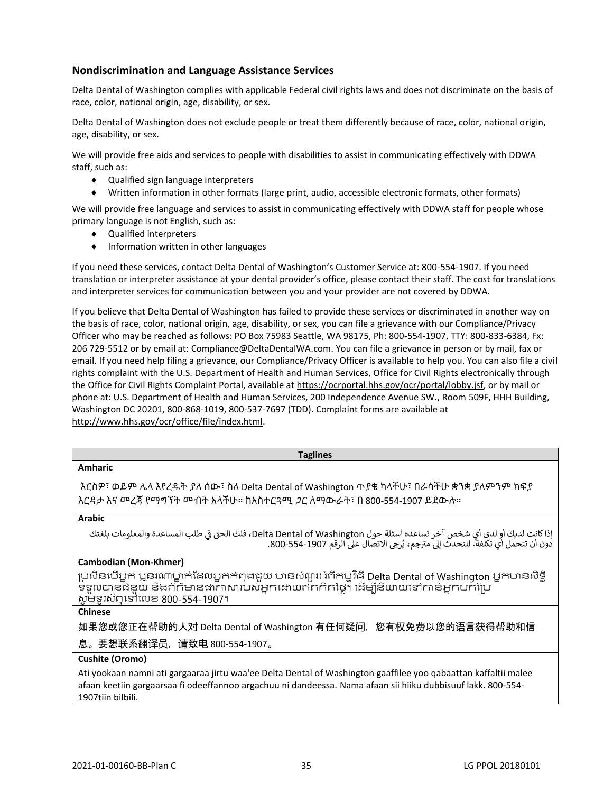# **Nondiscrimination and Language Assistance Services**

Delta Dental of Washington complies with applicable Federal civil rights laws and does not discriminate on the basis of race, color, national origin, age, disability, or sex.

Delta Dental of Washington does not exclude people or treat them differently because of race, color, national origin, age, disability, or sex.

We will provide free aids and services to people with disabilities to assist in communicating effectively with DDWA staff, such as:

- Qualified sign language interpreters
- Written information in other formats (large print, audio, accessible electronic formats, other formats)

We will provide free language and services to assist in communicating effectively with DDWA staff for people whose primary language is not English, such as:

- Qualified interpreters
- $\bullet$  Information written in other languages

If you need these services, contact Delta Dental of Washington's Customer Service at: 800-554-1907. If you need translation or interpreter assistance at your dental provider's office, please contact their staff. The cost for translations and interpreter services for communication between you and your provider are not covered by DDWA.

If you believe that Delta Dental of Washington has failed to provide these services or discriminated in another way on the basis of race, color, national origin, age, disability, or sex, you can file a grievance with our Compliance/Privacy Officer who may be reached as follows: PO Box 75983 Seattle, WA 98175, Ph: 800-554-1907, TTY: 800-833-6384, Fx: 206 729-5512 or by email at: Compliance@DeltaDentalWA.com. You can file a grievance in person or by mail, fax or email. If you need help filing a grievance, our Compliance/Privacy Officer is available to help you. You can also file a civil rights complaint with the U.S. Department of Health and Human Services, Office for Civil Rights electronically through the Office for Civil Rights Complaint Portal, available at https://ocrportal.hhs.gov/ocr/portal/lobby.jsf, or by mail or phone at: U.S. Department of Health and Human Services, 200 Independence Avenue SW., Room 509F, HHH Building, Washington DC 20201, 800-868-1019, 800-537-7697 (TDD). Complaint forms are available at http://www.hhs.gov/ocr/office/file/index.html.

| <b>Taglines</b>                                                                                                                                                                                                            |
|----------------------------------------------------------------------------------------------------------------------------------------------------------------------------------------------------------------------------|
| <b>Amharic</b>                                                                                                                                                                                                             |
| እርስዎ፣ ወይም ሌላ እየረዱት ያለ ሰው፣ ስለ Delta Dental of Washington ጥያቄ ካላችሁ፣ በራሳችሁ ቋንቋ ያለምንም ክፍያ<br>እርዳታ እና መረጃ የማግኘት መብት አላችሁ። ከአስተርጓሚ ጋር ለማውራት፣ በ 800-554-1907 ይደውሉ።                                                                |
| <b>Arabic</b>                                                                                                                                                                                                              |
| إذا كانت لديك أو لدى أي شخص آخر تساعده أسئلة حول Delta Dental of Washington، فلك الحق في طلب المساعدة والمعلومات بلغتك<br>دون أن تتحمل أي تكلّفةً. للتحدث إلى مترجم، يُرجى الاتصال على الرقم 1907-554-800.                 |
| Cambodian (Mon-Khmer)                                                                                                                                                                                                      |
| ប្រសិនបើអ្នក ឬនរណាម្នាក់ដែលអ្នកកំពុងដួយ មានសំណួរអំពីកម្មវិធី Delta Dental of Washington អ្នកមានសិទ្ធិ<br>ទទួលបានជំនួយ និងព័ត៌មានជាភាសារបស់អ្នកដោយឥតគិតថ្លៃ។ ដើម្បីនិយាយទៅកាន់អ្នកបក់ប្រែ<br>សូមទូរស័ព្ទទៅលេខ 800-554-1907។ |
| <b>Chinese</b>                                                                                                                                                                                                             |
| 如果您或您正在帮助的人对 Delta Dental of Washington 有任何疑问,您有权免费以您的语言获得帮助和信                                                                                                                                                             |
| 息。要想联系翻译员,请致电 800-554-1907。                                                                                                                                                                                                |
| Cushite (Oromo)                                                                                                                                                                                                            |
| Ati yookaan namni ati gargaaraa jirtu waa'ee Delta Dental of Washington gaaffilee yoo qabaattan kaffaltii malee                                                                                                            |

afaan keetiin gargaarsaa fi odeeffannoo argachuu ni dandeessa. Nama afaan sii hiiku dubbisuuf lakk. 800-554- 1907tiin bilbili.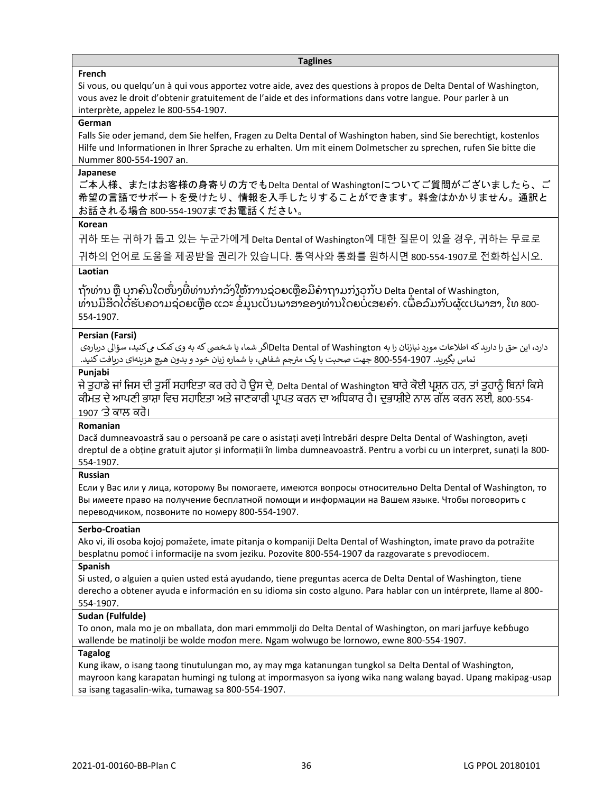#### **Taglines**

#### **French**

Si vous, ou quelqu'un à qui vous apportez votre aide, avez des questions à propos de Delta Dental of Washington, vous avez le droit d'obtenir gratuitement de l'aide et des informations dans votre langue. Pour parler à un interprète, appelez le 800-554-1907.

#### **German**

Falls Sie oder jemand, dem Sie helfen, Fragen zu Delta Dental of Washington haben, sind Sie berechtigt, kostenlos Hilfe und Informationen in Ihrer Sprache zu erhalten. Um mit einem Dolmetscher zu sprechen, rufen Sie bitte die Nummer 800-554-1907 an.

#### **Japanese**

ご本人様、またはお客様の身寄りの方でもDelta Dental of Washingtonについてご質問がございましたら、ご 希望の言語でサポートを受けたり、情報を入手したりすることができます。料金はかかりません。通訳と お話される場合 800-554-1907までお電話ください。

#### **Korean**

귀하 또는 귀하가 돕고 있는 누군가에게 Delta Dental of Washington에 대한 질문이 있을 경우, 귀하는 무료로 귀하의 언어로 도움을 제공받을 권리가 있습니다. 통역사와 통화를 원하시면 800-554-1907로 전화하십시오.

# **Laotian**

ຖ້າທ່ານ ຫຼື ບຸກຄົນໃດໜຶ່ງທີ່ທ່ານກໍາລັງໃຫ້ການຊ່ວຍເຫຼືອມີຄໍາຖາມກ່ຽວກັບ Delta Dental of Washington, ທ່ານມີສິດໄດ້ຮັບຄວາມຊ່ວຍເຫຼືອ ແລະ ຂໍ້ມູນເປັນພາສາຂອງທ່ານໂດຍບໍ່ເສຍຄ່າ. ເພື່ອລົມກັບຜູ້ແປພາສາ, ໂທ 800-554-1907.

#### **Persian (Farsi)**

دارد، این حق را دارید که اطلاعات مورد نیازتان را به Delta Dental of Washingtonاگر شما، یا شخصی که به وی کمک میکنید، سؤالی دربارهی رست کے بعد سوم شماره کرنامہ شمار کردیا۔<br>تماس بگیرید. 1907-554-800 جهت صحبت با یک مترجم شفاهی، با شماره زبان خود و بدون هیچ هزینهای دریافت کنید.

#### **Punjabi**

ਜੇ ਤੁਹਾਡੇ ਜਾਂ ਜਿਸ ਦੀ ਤੁਸੀਂ ਸਹਾਇਤਾ ਕਰ ਰਹੇ ਹੋ ਉਸ ਦੇ, Delta Dental of Washington ਬਾਰੇ ਕੋਈ ਪ੍ਰਸ਼ਨ ਹਨ, ਤਾਂ ਤੁਹਾਨੂੰ ਬਿਨਾਂ ਕਿਸੇ ਕੀਮਤ ਦੇ ਆਪਣੀ ਭਾਸ਼ਾ ਵਿਚ ਸਹਾਇਤਾ ਅਤੇ ਜਾਣਕਾਰੀ ਪਾਪਤ ਕਰਨ ਦਾ ਅਧਿਕਾਰ ਹੈ। ਦਭਾਸ਼ੀਏ ਨਾਲ ਗੱਲ ਕਰਨ ਲਈ, 800-554-1907 'ਤੇ ਕਾਲ ਕਰੋ।

#### **Romanian**

Dacă dumneavoastră sau o persoană pe care o asistați aveți întrebări despre Delta Dental of Washington, aveți dreptul de a obține gratuit ajutor și informații în limba dumneavoastră. Pentru a vorbi cu un interpret, sunați la 800- 554-1907.

#### **Russian**

Если у Вас или у лица, которому Вы помогаете, имеются вопросы относительно Delta Dental of Washington, то Вы имеете право на получение бесплатной помощи и информации на Вашем языке. Чтобы поговорить с переводчиком, позвоните по номеру 800-554-1907.

#### **Serbo-Croatian**

Ako vi, ili osoba kojoj pomažete, imate pitanja o kompaniji Delta Dental of Washington, imate pravo da potražite besplatnu pomoć i informacije na svom jeziku. Pozovite 800-554-1907 da razgovarate s prevodiocem.

#### **Spanish**

Si usted, o alguien a quien usted está ayudando, tiene preguntas acerca de Delta Dental of Washington, tiene derecho a obtener ayuda e información en su idioma sin costo alguno. Para hablar con un intérprete, llame al 800- 554-1907.

#### **Sudan (Fulfulde)**

To onon, mala mo je on mballata, don mari emmmolji do Delta Dental of Washington, on mari jarfuye keɓɓugo wallende be matinolji be wolde moɗon mere. Ngam wolwugo be lornowo, ewne 800-554-1907.

#### **Tagalog**

Kung ikaw, o isang taong tinutulungan mo, ay may mga katanungan tungkol sa Delta Dental of Washington, mayroon kang karapatan humingi ng tulong at impormasyon sa iyong wika nang walang bayad. Upang makipag-usap sa isang tagasalin-wika, tumawag sa 800-554-1907.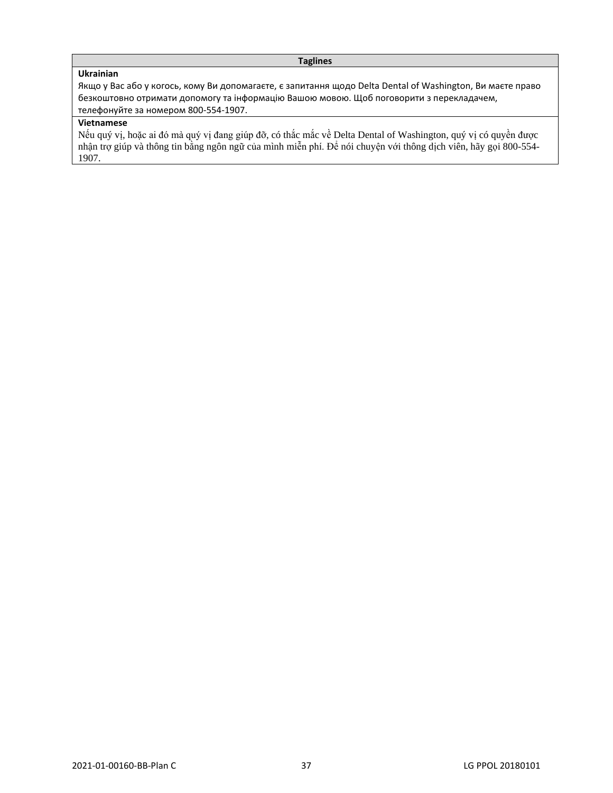#### **Taglines**

# **Ukrainian**

Якщо у Вас або у когось, кому Ви допомагаєте, є запитання щодо Delta Dental of Washington, Ви маєте право безкоштовно отримати допомогу та інформацію Вашою мовою. Щоб поговорити з перекладачем, телефонуйте за номером 800-554-1907.

# **Vietnamese**

Nếu quý vị, hoặc ai đó mà quý vị đang giúp đỡ, có thắc mắc về Delta Dental of Washington, quý vị có quyền được nhận trợ giúp và thông tin bằng ngôn ngữ của mình miễn phí. Để nói chuyện với thông dịch viên, hãy gọi 800-554- 1907.